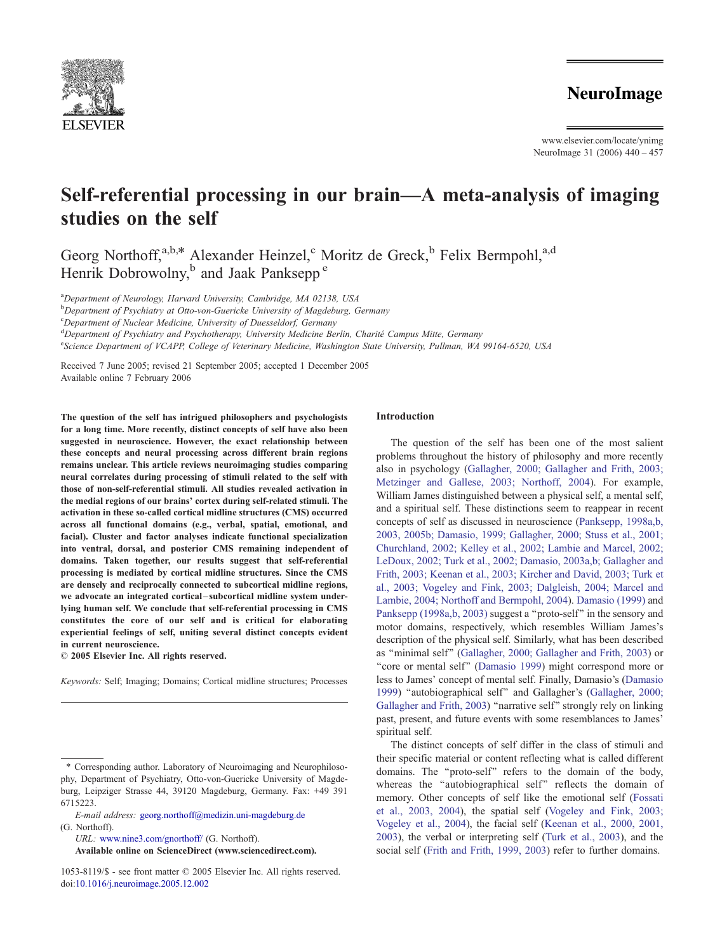

# **NeuroImage**

www.elsevier.com/locate/ynimg NeuroImage 31 (2006) 440 – 457

# Self-referential processing in our brain—A meta-analysis of imaging studies on the self

Georg Northoff,<sup>a,b,\*</sup> Alexander Heinzel,<sup>c</sup> Moritz de Greck,<sup>b</sup> Felix Bermpohl,<sup>a,d</sup> Henrik Dobrowolny,<sup>b</sup> and Jaak Panksepp<sup>e</sup>

<sup>a</sup>Department of Neurology, Harvard University, Cambridge, MA 02138, USA

<sup>b</sup>Department of Psychiatry at Otto-von-Guericke University of Magdeburg, Germany

<sup>c</sup>Department of Nuclear Medicine, University of Duesseldorf, Germany

<sup>d</sup>Department of Psychiatry and Psychotherapy, University Medicine Berlin, Charité Campus Mitte, Germany

e Science Department of VCAPP, College of Veterinary Medicine, Washington State University, Pullman, WA 99164-6520, USA

Received 7 June 2005; revised 21 September 2005; accepted 1 December 2005 Available online 7 February 2006

The question of the self has intrigued philosophers and psychologists for a long time. More recently, distinct concepts of self have also been suggested in neuroscience. However, the exact relationship between these concepts and neural processing across different brain regions remains unclear. This article reviews neuroimaging studies comparing neural correlates during processing of stimuli related to the self with those of non-self-referential stimuli. All studies revealed activation in the medial regions of our brains' cortex during self-related stimuli. The activation in these so-called cortical midline structures (CMS) occurred across all functional domains (e.g., verbal, spatial, emotional, and facial). Cluster and factor analyses indicate functional specialization into ventral, dorsal, and posterior CMS remaining independent of domains. Taken together, our results suggest that self-referential processing is mediated by cortical midline structures. Since the CMS are densely and reciprocally connected to subcortical midline regions, we advocate an integrated cortical – subcortical midline system underlying human self. We conclude that self-referential processing in CMS constitutes the core of our self and is critical for elaborating experiential feelings of self, uniting several distinct concepts evident in current neuroscience.

 $©$  2005 Elsevier Inc. All rights reserved.

Keywords: Self; Imaging; Domains; Cortical midline structures; Processes

E-mail address: [georg.northoff@medizin.uni-magdeburg.de](mailto:georg.northoff@medizin.uni-magdeburg.de) (G. Northoff).

URL: [www.nine3.com/gnorthoff/](http://www.nine3.com/gnorthoff/) (G. Northoff).

Available online on ScienceDirect ([www.sciencedirect.com](http://www.sciencedirect.com)).

# Introduction

The question of the self has been one of the most salient problems throughout the history of philosophy and more recently also in psychology ([Gallagher, 2000; Gallagher and Frith, 2003;](#page-15-0) Metzinger and Gallese, 2003; Northoff, 2004). For example, William James distinguished between a physical self, a mental self, and a spiritual self. These distinctions seem to reappear in recent concepts of self as discussed in neuroscience ([Panksepp, 1998a,b,](#page-16-0) 2003, 2005b; Damasio, 1999; Gallagher, 2000; Stuss et al., 2001; Churchland, 2002; Kelley et al., 2002; Lambie and Marcel, 2002; LeDoux, 2002; Turk et al., 2002; Damasio, 2003a,b; Gallagher and Frith, 2003; Keenan et al., 2003; Kircher and David, 2003; Turk et al., 2003; Vogeley and Fink, 2003; Dalgleish, 2004; Marcel and Lambie, 2004; Northoff and Bermpohl, 2004). [Damasio \(1999\)](#page-15-0) and [Panksepp \(1998a,b, 2003\)](#page-16-0) suggest a "proto-self" in the sensory and motor domains, respectively, which resembles William James's description of the physical self. Similarly, what has been described as ''minimal self'' ([Gallagher, 2000; Gallagher and Frith, 2003\)](#page-15-0) or "core or mental self" ([Damasio 1999\)](#page-15-0) might correspond more or less to James' concept of mental self. Finally, Damasio's ([Damasio](#page-15-0) 1999) ''autobiographical self'' and Gallagher's ([Gallagher, 2000;](#page-15-0) Gallagher and Frith, 2003) "narrative self" strongly rely on linking past, present, and future events with some resemblances to James' spiritual self.

The distinct concepts of self differ in the class of stimuli and their specific material or content reflecting what is called different domains. The ''proto-self'' refers to the domain of the body, whereas the "autobiographical self" reflects the domain of memory. Other concepts of self like the emotional self ([Fossati](#page-15-0) et al., 2003, 2004), the spatial self ([Vogeley and Fink, 2003;](#page-17-0) Vogeley et al., 2004), the facial self ([Keenan et al., 2000, 2001,](#page-16-0) 2003), the verbal or interpreting self ([Turk et al., 2003\)](#page-17-0), and the social self ([Frith and Frith, 1999, 2003\)](#page-15-0) refer to further domains.

<sup>\*</sup> Corresponding author. Laboratory of Neuroimaging and Neurophilosophy, Department of Psychiatry, Otto-von-Guericke University of Magdeburg, Leipziger Strasse 44, 39120 Magdeburg, Germany. Fax: +49 391 6715223.

<sup>1053-8119/\$ -</sup> see front matter © 2005 Elsevier Inc. All rights reserved. doi:[10.1016/j.neuroimage.2005.12.002](http://dx.doi.org/10.1016/j.neuroimage.2005.12.002)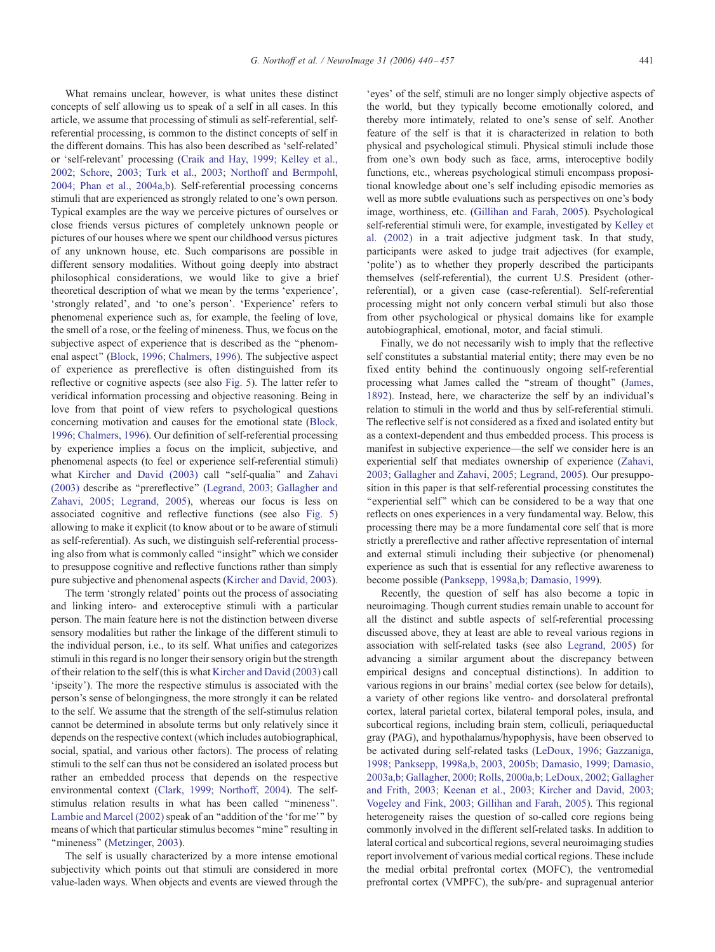What remains unclear, however, is what unites these distinct concepts of self allowing us to speak of a self in all cases. In this article, we assume that processing of stimuli as self-referential, selfreferential processing, is common to the distinct concepts of self in the different domains. This has also been described as 'self-related' or 'self-relevant' processing ([Craik and Hay, 1999; Kelley et al.,](#page-15-0) 2002; Schore, 2003; Turk et al., 2003; Northoff and Bermpohl, 2004; Phan et al., 2004a,b). Self-referential processing concerns stimuli that are experienced as strongly related to one's own person. Typical examples are the way we perceive pictures of ourselves or close friends versus pictures of completely unknown people or pictures of our houses where we spent our childhood versus pictures of any unknown house, etc. Such comparisons are possible in different sensory modalities. Without going deeply into abstract philosophical considerations, we would like to give a brief theoretical description of what we mean by the terms 'experience', 'strongly related', and 'to one's person'. 'Experience' refers to phenomenal experience such as, for example, the feeling of love, the smell of a rose, or the feeling of mineness. Thus, we focus on the subjective aspect of experience that is described as the ''phenomenal aspect'' ([Block, 1996; Chalmers, 1996\)](#page-15-0). The subjective aspect of experience as prereflective is often distinguished from its reflective or cognitive aspects (see also [Fig. 5\)](#page-10-0). The latter refer to veridical information processing and objective reasoning. Being in love from that point of view refers to psychological questions concerning motivation and causes for the emotional state ([Block,](#page-15-0) 1996; Chalmers, 1996). Our definition of self-referential processing by experience implies a focus on the implicit, subjective, and phenomenal aspects (to feel or experience self-referential stimuli) what [Kircher and David \(2003\)](#page-16-0) call "self-qualia" and [Zahavi](#page-17-0) (2003) describe as ''prereflective'' ([Legrand, 2003; Gallagher and](#page-16-0) Zahavi, 2005; Legrand, 2005), whereas our focus is less on associated cognitive and reflective functions (see also [Fig. 5\)](#page-10-0) allowing to make it explicit (to know about or to be aware of stimuli as self-referential). As such, we distinguish self-referential processing also from what is commonly called ''insight'' which we consider to presuppose cognitive and reflective functions rather than simply pure subjective and phenomenal aspects ([Kircher and David, 2003\)](#page-16-0).

The term 'strongly related' points out the process of associating and linking intero- and exteroceptive stimuli with a particular person. The main feature here is not the distinction between diverse sensory modalities but rather the linkage of the different stimuli to the individual person, i.e., to its self. What unifies and categorizes stimuli in this regard is no longer their sensory origin but the strength of their relation to the self (this is what [Kircher and David \(2003\)](#page-16-0) call 'ipseity'). The more the respective stimulus is associated with the person's sense of belongingness, the more strongly it can be related to the self. We assume that the strength of the self-stimulus relation cannot be determined in absolute terms but only relatively since it depends on the respective context (which includes autobiographical, social, spatial, and various other factors). The process of relating stimuli to the self can thus not be considered an isolated process but rather an embedded process that depends on the respective environmental context ([Clark, 1999; Northoff, 2004\)](#page-15-0). The selfstimulus relation results in what has been called ''mineness''. [Lambie and Marcel \(2002\)](#page-16-0) speak of an "addition of the 'for me'" by means of which that particular stimulus becomes "mine" resulting in "mineness" ([Metzinger, 2003\)](#page-16-0).

The self is usually characterized by a more intense emotional subjectivity which points out that stimuli are considered in more value-laden ways. When objects and events are viewed through the 'eyes' of the self, stimuli are no longer simply objective aspects of the world, but they typically become emotionally colored, and thereby more intimately, related to one's sense of self. Another feature of the self is that it is characterized in relation to both physical and psychological stimuli. Physical stimuli include those from one's own body such as face, arms, interoceptive bodily functions, etc., whereas psychological stimuli encompass propositional knowledge about one's self including episodic memories as well as more subtle evaluations such as perspectives on one's body image, worthiness, etc. ([Gillihan and Farah, 2005\)](#page-15-0). Psychological self-referential stimuli were, for example, investigated by [Kelley et](#page-16-0) al. (2002) in a trait adjective judgment task. In that study, participants were asked to judge trait adjectives (for example, 'polite') as to whether they properly described the participants themselves (self-referential), the current U.S. President (otherreferential), or a given case (case-referential). Self-referential processing might not only concern verbal stimuli but also those from other psychological or physical domains like for example autobiographical, emotional, motor, and facial stimuli.

Finally, we do not necessarily wish to imply that the reflective self constitutes a substantial material entity; there may even be no fixed entity behind the continuously ongoing self-referential processing what James called the ''stream of thought'' ([James,](#page-16-0) 1892). Instead, here, we characterize the self by an individual's relation to stimuli in the world and thus by self-referential stimuli. The reflective self is not considered as a fixed and isolated entity but as a context-dependent and thus embedded process. This process is manifest in subjective experience—the self we consider here is an experiential self that mediates ownership of experience ([Zahavi,](#page-17-0) 2003; Gallagher and Zahavi, 2005; Legrand, 2005). Our presupposition in this paper is that self-referential processing constitutes the "experiential self" which can be considered to be a way that one reflects on ones experiences in a very fundamental way. Below, this processing there may be a more fundamental core self that is more strictly a prereflective and rather affective representation of internal and external stimuli including their subjective (or phenomenal) experience as such that is essential for any reflective awareness to become possible ([Panksepp, 1998a,b; Damasio, 1999\)](#page-16-0).

Recently, the question of self has also become a topic in neuroimaging. Though current studies remain unable to account for all the distinct and subtle aspects of self-referential processing discussed above, they at least are able to reveal various regions in association with self-related tasks (see also [Legrand, 2005\)](#page-16-0) for advancing a similar argument about the discrepancy between empirical designs and conceptual distinctions). In addition to various regions in our brains' medial cortex (see below for details), a variety of other regions like ventro- and dorsolateral prefrontal cortex, lateral parietal cortex, bilateral temporal poles, insula, and subcortical regions, including brain stem, colliculi, periaqueductal gray (PAG), and hypothalamus/hypophysis, have been observed to be activated during self-related tasks ([LeDoux, 1996; Gazzaniga,](#page-16-0) 1998; Panksepp, 1998a,b, 2003, 2005b; Damasio, 1999; Damasio, 2003a,b; Gallagher, 2000; Rolls, 2000a,b; LeDoux, 2002; Gallagher and Frith, 2003; Keenan et al., 2003; Kircher and David, 2003; Vogeley and Fink, 2003; Gillihan and Farah, 2005). This regional heterogeneity raises the question of so-called core regions being commonly involved in the different self-related tasks. In addition to lateral cortical and subcortical regions, several neuroimaging studies report involvement of various medial cortical regions. These include the medial orbital prefrontal cortex (MOFC), the ventromedial prefrontal cortex (VMPFC), the sub/pre- and supragenual anterior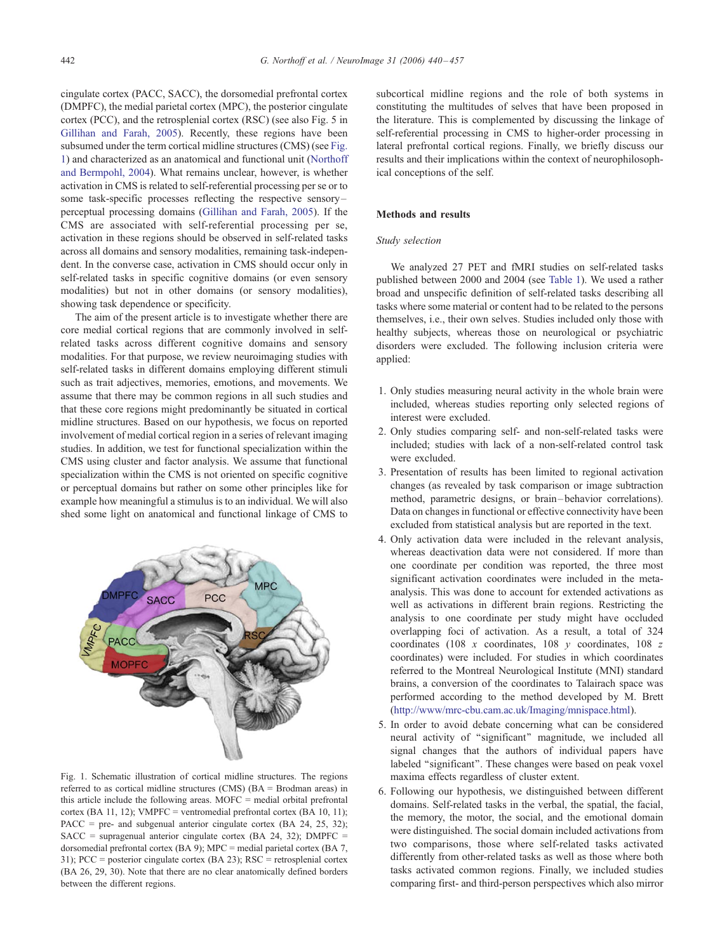<span id="page-2-0"></span>cingulate cortex (PACC, SACC), the dorsomedial prefrontal cortex (DMPFC), the medial parietal cortex (MPC), the posterior cingulate cortex (PCC), and the retrosplenial cortex (RSC) (see also Fig. 5 in [Gillihan and Farah, 2005\)](#page-15-0). Recently, these regions have been subsumed under the term cortical midline structures (CMS) (see Fig. 1) and characterized as an anatomical and functional unit ([Northoff](#page-16-0) and Bermpohl, 2004). What remains unclear, however, is whether activation in CMS is related to self-referential processing per se or to some task-specific processes reflecting the respective sensory – perceptual processing domains ([Gillihan and Farah, 2005\)](#page-15-0). If the CMS are associated with self-referential processing per se, activation in these regions should be observed in self-related tasks across all domains and sensory modalities, remaining task-independent. In the converse case, activation in CMS should occur only in self-related tasks in specific cognitive domains (or even sensory modalities) but not in other domains (or sensory modalities), showing task dependence or specificity.

The aim of the present article is to investigate whether there are core medial cortical regions that are commonly involved in selfrelated tasks across different cognitive domains and sensory modalities. For that purpose, we review neuroimaging studies with self-related tasks in different domains employing different stimuli such as trait adjectives, memories, emotions, and movements. We assume that there may be common regions in all such studies and that these core regions might predominantly be situated in cortical midline structures. Based on our hypothesis, we focus on reported involvement of medial cortical region in a series of relevant imaging studies. In addition, we test for functional specialization within the CMS using cluster and factor analysis. We assume that functional specialization within the CMS is not oriented on specific cognitive or perceptual domains but rather on some other principles like for example how meaningful a stimulus is to an individual. We will also shed some light on anatomical and functional linkage of CMS to



Fig. 1. Schematic illustration of cortical midline structures. The regions referred to as cortical midline structures (CMS) (BA = Brodman areas) in this article include the following areas. MOFC = medial orbital prefrontal cortex (BA 11, 12); VMPFC = ventromedial prefrontal cortex (BA 10, 11); PACC = pre- and subgenual anterior cingulate cortex (BA 24, 25, 32); SACC = supragenual anterior cingulate cortex (BA 24, 32); DMPFC = dorsomedial prefrontal cortex (BA 9); MPC = medial parietal cortex (BA 7, 31); PCC = posterior cingulate cortex (BA 23); RSC = retrosplenial cortex (BA 26, 29, 30). Note that there are no clear anatomically defined borders between the different regions.

subcortical midline regions and the role of both systems in constituting the multitudes of selves that have been proposed in the literature. This is complemented by discussing the linkage of self-referential processing in CMS to higher-order processing in lateral prefrontal cortical regions. Finally, we briefly discuss our results and their implications within the context of neurophilosophical conceptions of the self.

# Methods and results

# Study selection

We analyzed 27 PET and fMRI studies on self-related tasks published between 2000 and 2004 (see [Table 1\)](#page-3-0). We used a rather broad and unspecific definition of self-related tasks describing all tasks where some material or content had to be related to the persons themselves, i.e., their own selves. Studies included only those with healthy subjects, whereas those on neurological or psychiatric disorders were excluded. The following inclusion criteria were applied:

- 1. Only studies measuring neural activity in the whole brain were included, whereas studies reporting only selected regions of interest were excluded.
- 2. Only studies comparing self- and non-self-related tasks were included; studies with lack of a non-self-related control task were excluded.
- 3. Presentation of results has been limited to regional activation changes (as revealed by task comparison or image subtraction method, parametric designs, or brain – behavior correlations). Data on changes in functional or effective connectivity have been excluded from statistical analysis but are reported in the text.
- 4. Only activation data were included in the relevant analysis, whereas deactivation data were not considered. If more than one coordinate per condition was reported, the three most significant activation coordinates were included in the metaanalysis. This was done to account for extended activations as well as activations in different brain regions. Restricting the analysis to one coordinate per study might have occluded overlapping foci of activation. As a result, a total of 324 coordinates (108  $x$  coordinates, 108  $y$  coordinates, 108  $z$ coordinates) were included. For studies in which coordinates referred to the Montreal Neurological Institute (MNI) standard brains, a conversion of the coordinates to Talairach space was performed according to the method developed by M. Brett ([http://www/mrc-cbu.cam.ac.uk/Imaging/mnispace.html\)](http://www/mrc-cbu.cam.ac.uk/Imaging/mnispace.html).
- 5. In order to avoid debate concerning what can be considered neural activity of ''significant'' magnitude, we included all signal changes that the authors of individual papers have labeled "significant". These changes were based on peak voxel maxima effects regardless of cluster extent.
- 6. Following our hypothesis, we distinguished between different domains. Self-related tasks in the verbal, the spatial, the facial, the memory, the motor, the social, and the emotional domain were distinguished. The social domain included activations from two comparisons, those where self-related tasks activated differently from other-related tasks as well as those where both tasks activated common regions. Finally, we included studies comparing first- and third-person perspectives which also mirror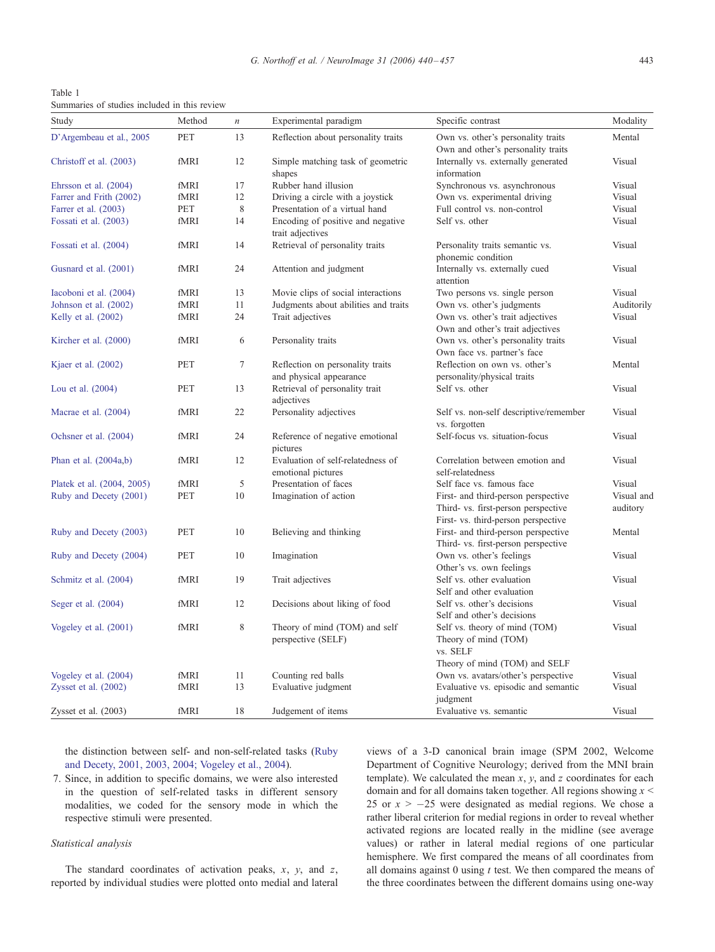<span id="page-3-0"></span>Table 1 Summaries of studies included in this review

| Study                      | Method | $\boldsymbol{n}$ | Experimental paradigm                                       | Specific contrast                                                                                                 | Modality               |
|----------------------------|--------|------------------|-------------------------------------------------------------|-------------------------------------------------------------------------------------------------------------------|------------------------|
| D'Argembeau et al., 2005   | PET    | 13               | Reflection about personality traits                         | Own vs. other's personality traits<br>Own and other's personality traits                                          | Mental                 |
| Christoff et al. (2003)    | fMRI   | 12               | Simple matching task of geometric<br>shapes                 | Internally vs. externally generated<br>information                                                                | Visual                 |
| Ehrsson et al. (2004)      | fMRI   | 17               | Rubber hand illusion                                        | Synchronous vs. asynchronous                                                                                      | Visual                 |
| Farrer and Frith (2002)    | fMRI   | 12               | Driving a circle with a joystick                            | Own vs. experimental driving                                                                                      | Visual                 |
| Farrer et al. (2003)       | PET    | $\,$ 8 $\,$      | Presentation of a virtual hand                              | Full control vs. non-control                                                                                      | Visual                 |
| Fossati et al. (2003)      | fMRI   | 14               | Encoding of positive and negative<br>trait adjectives       | Self vs. other                                                                                                    | Visual                 |
| Fossati et al. (2004)      | fMRI   | 14               | Retrieval of personality traits                             | Personality traits semantic vs.<br>phonemic condition                                                             | Visual                 |
| Gusnard et al. (2001)      | fMRI   | 24               | Attention and judgment                                      | Internally vs. externally cued<br>attention                                                                       | Visual                 |
| Iacoboni et al. (2004)     | fMRI   | 13               | Movie clips of social interactions                          | Two persons vs. single person                                                                                     | Visual                 |
| Johnson et al. (2002)      | fMRI   | 11               | Judgments about abilities and traits                        | Own vs. other's judgments                                                                                         | Auditorily             |
| Kelly et al. (2002)        | fMRI   | 24               | Trait adjectives                                            | Own vs. other's trait adjectives<br>Own and other's trait adjectives                                              | Visual                 |
| Kircher et al. (2000)      | fMRI   | 6                | Personality traits                                          | Own vs. other's personality traits<br>Own face vs. partner's face                                                 | Visual                 |
| Kjaer et al. $(2002)$      | PET    | 7                | Reflection on personality traits<br>and physical appearance | Reflection on own vs. other's<br>personality/physical traits                                                      | Mental                 |
| Lou et al. (2004)          | PET    | 13               | Retrieval of personality trait<br>adjectives                | Self vs. other                                                                                                    | Visual                 |
| Macrae et al. (2004)       | fMRI   | 22               | Personality adjectives                                      | Self vs. non-self descriptive/remember<br>vs. forgotten                                                           | Visual                 |
| Ochsner et al. (2004)      | fMRI   | 24               | Reference of negative emotional<br>pictures                 | Self-focus vs. situation-focus                                                                                    | Visual                 |
| Phan et al. $(2004a,b)$    | fMRI   | 12               | Evaluation of self-relatedness of<br>emotional pictures     | Correlation between emotion and<br>self-relatedness                                                               | Visual                 |
| Platek et al. (2004, 2005) | fMRI   | 5                | Presentation of faces                                       | Self face vs. famous face                                                                                         | Visual                 |
| Ruby and Decety (2001)     | PET    | 10               | Imagination of action                                       | First- and third-person perspective<br>Third- vs. first-person perspective<br>First- vs. third-person perspective | Visual and<br>auditory |
| Ruby and Decety (2003)     | PET    | 10               | Believing and thinking                                      | First- and third-person perspective<br>Third- vs. first-person perspective                                        | Mental                 |
| Ruby and Decety (2004)     | PET    | 10               | Imagination                                                 | Own vs. other's feelings<br>Other's vs. own feelings                                                              | Visual                 |
| Schmitz et al. (2004)      | fMRI   | 19               | Trait adjectives                                            | Self vs. other evaluation<br>Self and other evaluation                                                            | Visual                 |
| Seger et al. $(2004)$      | fMRI   | 12               | Decisions about liking of food                              | Self vs. other's decisions<br>Self and other's decisions                                                          | Visual                 |
| Vogeley et al. $(2001)$    | fMRI   | 8                | Theory of mind (TOM) and self<br>perspective (SELF)         | Self vs. theory of mind (TOM)<br>Theory of mind (TOM)<br>vs. SELF<br>Theory of mind (TOM) and SELF                | Visual                 |
| Vogeley et al. (2004)      | fMRI   | 11               | Counting red balls                                          | Own vs. avatars/other's perspective                                                                               | Visual                 |
| Zysset et al. (2002)       | fMRI   | 13               | Evaluative judgment                                         | Evaluative vs. episodic and semantic<br>judgment                                                                  | Visual                 |
| Zysset et al. $(2003)$     | fMRI   | 18               | Judgement of items                                          | Evaluative vs. semantic                                                                                           | Visual                 |

the distinction between self- and non-self-related tasks ([Ruby](#page-17-0) and Decety, 2001, 2003, 2004; Vogeley et al., 2004).

7. Since, in addition to specific domains, we were also interested in the question of self-related tasks in different sensory modalities, we coded for the sensory mode in which the respective stimuli were presented.

# Statistical analysis

The standard coordinates of activation peaks,  $x$ ,  $y$ , and  $z$ , reported by individual studies were plotted onto medial and lateral views of a 3-D canonical brain image (SPM 2002, Welcome Department of Cognitive Neurology; derived from the MNI brain template). We calculated the mean  $x$ ,  $y$ , and  $z$  coordinates for each domain and for all domains taken together. All regions showing  $x <$ 25 or  $x > -25$  were designated as medial regions. We chose a rather liberal criterion for medial regions in order to reveal whether activated regions are located really in the midline (see average values) or rather in lateral medial regions of one particular hemisphere. We first compared the means of all coordinates from all domains against  $0$  using  $t$  test. We then compared the means of the three coordinates between the different domains using one-way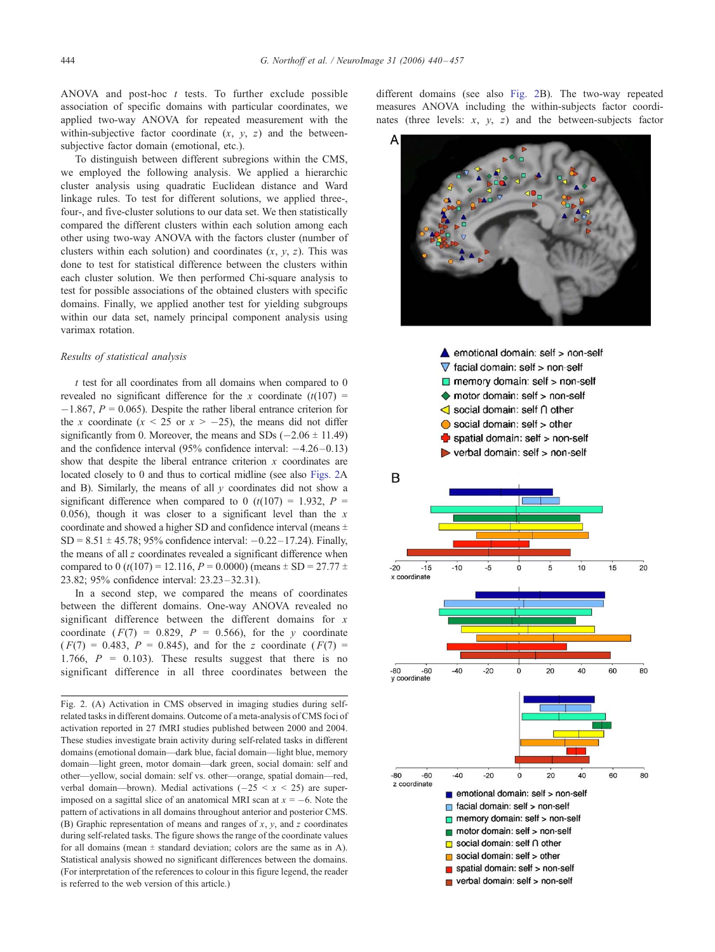<span id="page-4-0"></span>ANOVA and post-hoc  $t$  tests. To further exclude possible association of specific domains with particular coordinates, we applied two-way ANOVA for repeated measurement with the within-subjective factor coordinate  $(x, y, z)$  and the betweensubjective factor domain (emotional, etc.).

To distinguish between different subregions within the CMS, we employed the following analysis. We applied a hierarchic cluster analysis using quadratic Euclidean distance and Ward linkage rules. To test for different solutions, we applied three-, four-, and five-cluster solutions to our data set. We then statistically compared the different clusters within each solution among each other using two-way ANOVA with the factors cluster (number of clusters within each solution) and coordinates  $(x, y, z)$ . This was done to test for statistical difference between the clusters within each cluster solution. We then performed Chi-square analysis to test for possible associations of the obtained clusters with specific domains. Finally, we applied another test for yielding subgroups within our data set, namely principal component analysis using varimax rotation.

#### Results of statistical analysis

 $t$  test for all coordinates from all domains when compared to 0 revealed no significant difference for the x coordinate  $(t(107))$  =  $-1.867$ ,  $P = 0.065$ ). Despite the rather liberal entrance criterion for the x coordinate  $(x < 25$  or  $x > -25$ ), the means did not differ significantly from 0. Moreover, the means and SDs  $(-2.06 \pm 11.49)$ and the confidence interval (95% confidence interval: -4.26 –0.13) show that despite the liberal entrance criterion  $x$  coordinates are located closely to 0 and thus to cortical midline (see also Figs. 2A and B). Similarly, the means of all  $\nu$  coordinates did not show a significant difference when compared to 0 ( $t(107) = 1.932$ ,  $P =$ 0.056), though it was closer to a significant level than the  $x$ coordinate and showed a higher SD and confidence interval (means  $\pm$  $SD = 8.51 \pm 45.78$ ; 95% confidence interval:  $-0.22 - 17.24$ ). Finally, the means of all z coordinates revealed a significant difference when compared to 0 ( $t(107) = 12.116$ ,  $P = 0.0000$ ) (means  $\pm$  SD = 27.77  $\pm$ 23.82; 95% confidence interval: 23.23 –32.31).

In a second step, we compared the means of coordinates between the different domains. One-way ANOVA revealed no significant difference between the different domains for  $x$ coordinate  $(F(7) = 0.829, P = 0.566)$ , for the y coordinate  $(F(7) = 0.483, P = 0.845)$ , and for the z coordinate  $(F(7) = 0.483, P = 0.845)$ 1.766,  $P = 0.103$ ). These results suggest that there is no significant difference in all three coordinates between the

Fig. 2. (A) Activation in CMS observed in imaging studies during selfrelated tasks in different domains. Outcome of a meta-analysis of CMS foci of activation reported in 27 fMRI studies published between 2000 and 2004. These studies investigate brain activity during self-related tasks in different domains (emotional domain—dark blue, facial domain—light blue, memory domain—light green, motor domain—dark green, social domain: self and other—yellow, social domain: self vs. other—orange, spatial domain—red, verbal domain—brown). Medial activations  $(-25 \le x \le 25)$  are superimposed on a sagittal slice of an anatomical MRI scan at  $x = -6$ . Note the pattern of activations in all domains throughout anterior and posterior CMS. (B) Graphic representation of means and ranges of  $x$ ,  $y$ , and  $z$  coordinates during self-related tasks. The figure shows the range of the coordinate values for all domains (mean  $\pm$  standard deviation; colors are the same as in A). Statistical analysis showed no significant differences between the domains. (For interpretation of the references to colour in this figure legend, the reader is referred to the web version of this article.)

different domains (see also Fig. 2B). The two-way repeated measures ANOVA including the within-subjects factor coordinates (three levels:  $x$ ,  $y$ ,  $z$ ) and the between-subjects factor



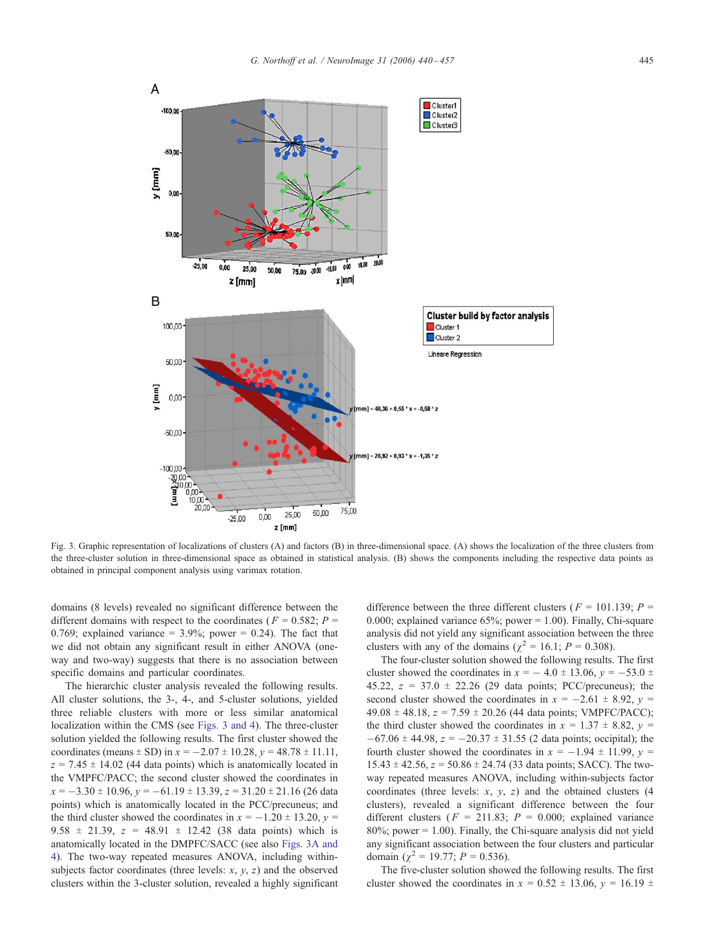<span id="page-5-0"></span>

Fig. 3. Graphic representation of localizations of clusters (A) and factors (B) in three-dimensional space. (A) shows the localization of the three clusters from the three-cluster solution in three-dimensional space as obtained in statistical analysis. (B) shows the components including the respective data points as obtained in principal component analysis using varimax rotation.

domains (8 levels) revealed no significant difference between the different domains with respect to the coordinates ( $F = 0.582$ ;  $P =$ 0.769; explained variance =  $3.9\%$ ; power = 0.24). The fact that we did not obtain any significant result in either ANOVA (oneway and two-way) suggests that there is no association between specific domains and particular coordinates.

The hierarchic cluster analysis revealed the following results. All cluster solutions, the 3-, 4-, and 5-cluster solutions, yielded three reliable clusters with more or less similar anatomical localization within the CMS (see Figs. 3 and 4). The three-cluster solution yielded the following results. The first cluster showed the coordinates (means  $\pm$  SD) in  $x = -2.07 \pm 10.28$ ,  $y = 48.78 \pm 11.11$ ,  $z = 7.45 \pm 14.02$  (44 data points) which is anatomically located in the VMPFC/PACC; the second cluster showed the coordinates in  $x = -3.30 \pm 10.96, y = -61.19 \pm 13.39, z = 31.20 \pm 21.16$  (26 data points) which is anatomically located in the PCC/precuneus; and the third cluster showed the coordinates in  $x = -1.20 \pm 13.20$ ,  $y =$ 9.58  $\pm$  21.39,  $z = 48.91 \pm 12.42$  (38 data points) which is anatomically located in the DMPFC/SACC (see also Figs. 3A and 4). The two-way repeated measures ANOVA, including withinsubjects factor coordinates (three levels:  $x$ ,  $y$ ,  $z$ ) and the observed clusters within the 3-cluster solution, revealed a highly significant difference between the three different clusters ( $F = 101.139$ ;  $P =$ 0.000; explained variance 65%; power = 1.00). Finally, Chi-square analysis did not yield any significant association between the three clusters with any of the domains ( $\chi^2$  = 16.1; P = 0.308).

The four-cluster solution showed the following results. The first cluster showed the coordinates in  $x = -4.0 \pm 13.06$ ,  $y = -53.0 \pm 13.06$ 45.22,  $z = 37.0 \pm 22.26$  (29 data points; PCC/precuneus); the second cluster showed the coordinates in  $x = -2.61 \pm 8.92$ ,  $y =$  $49.08 \pm 48.18$ ,  $z = 7.59 \pm 20.26$  (44 data points; VMPFC/PACC); the third cluster showed the coordinates in  $x = 1.37 \pm 8.82$ ,  $y =$  $-67.06 \pm 44.98$ ,  $z = -20.37 \pm 31.55$  (2 data points; occipital); the fourth cluster showed the coordinates in  $x = -1.94 \pm 11.99$ ,  $y =$  $15.43 \pm 42.56$ ,  $z = 50.86 \pm 24.74$  (33 data points; SACC). The twoway repeated measures ANOVA, including within-subjects factor coordinates (three levels:  $x$ ,  $y$ ,  $z$ ) and the obtained clusters (4 clusters), revealed a significant difference between the four different clusters ( $F = 211.83$ ;  $P = 0.000$ ; explained variance 80%; power = 1.00). Finally, the Chi-square analysis did not yield any significant association between the four clusters and particular domain ( $\chi^2$  = 19.77; *P* = 0.536).

The five-cluster solution showed the following results. The first cluster showed the coordinates in  $x = 0.52 \pm 13.06$ ,  $y = 16.19 \pm 10.19$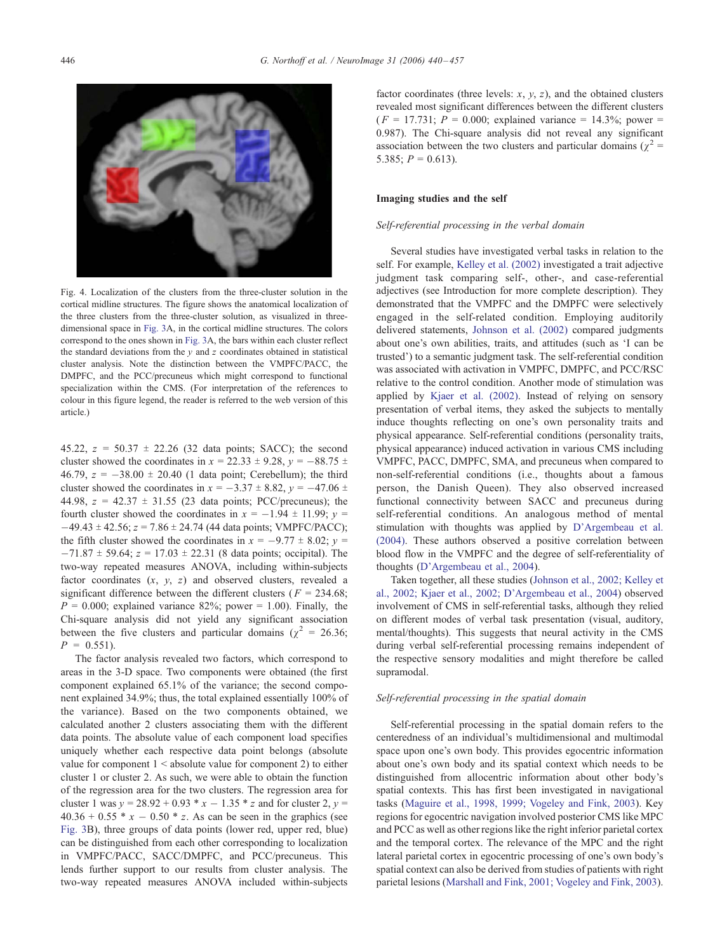

Fig. 4. Localization of the clusters from the three-cluster solution in the cortical midline structures. The figure shows the anatomical localization of the three clusters from the three-cluster solution, as visualized in threedimensional space in [Fig. 3A](#page-5-0), in the cortical midline structures. The colors correspond to the ones shown in [Fig. 3A](#page-5-0), the bars within each cluster reflect the standard deviations from the  $y$  and  $z$  coordinates obtained in statistical cluster analysis. Note the distinction between the VMPFC/PACC, the DMPFC, and the PCC/precuneus which might correspond to functional specialization within the CMS. (For interpretation of the references to colour in this figure legend, the reader is referred to the web version of this article.)

45.22,  $z = 50.37 \pm 22.26$  (32 data points; SACC); the second cluster showed the coordinates in  $x = 22.33 \pm 9.28$ ,  $y = -88.75 \pm 1.5$  $46.79$ ,  $z = -38.00 \pm 20.40$  (1 data point; Cerebellum); the third cluster showed the coordinates in  $x = -3.37 \pm 8.82$ ,  $y = -47.06 \pm 1.06$ 44.98,  $z = 42.37 \pm 31.55$  (23 data points; PCC/precuneus); the fourth cluster showed the coordinates in  $x = -1.94 \pm 11.99$ ;  $y =$  $-49.43 \pm 42.56$ ;  $z = 7.86 \pm 24.74$  (44 data points; VMPFC/PACC); the fifth cluster showed the coordinates in  $x = -9.77 \pm 8.02$ ;  $y =$  $-71.87 \pm 59.64$ ;  $z = 17.03 \pm 22.31$  (8 data points; occipital). The two-way repeated measures ANOVA, including within-subjects factor coordinates  $(x, y, z)$  and observed clusters, revealed a significant difference between the different clusters ( $F = 234.68$ ;  $P = 0.000$ ; explained variance 82%; power = 1.00). Finally, the Chi-square analysis did not yield any significant association between the five clusters and particular domains ( $\chi^2$  = 26.36;  $P = 0.551$ .

The factor analysis revealed two factors, which correspond to areas in the 3-D space. Two components were obtained (the first component explained 65.1% of the variance; the second component explained 34.9%; thus, the total explained essentially 100% of the variance). Based on the two components obtained, we calculated another 2 clusters associating them with the different data points. The absolute value of each component load specifies uniquely whether each respective data point belongs (absolute value for component 1 < absolute value for component 2) to either cluster 1 or cluster 2. As such, we were able to obtain the function of the regression area for the two clusters. The regression area for cluster 1 was  $y = 28.92 + 0.93 * x - 1.35 * z$  and for cluster 2,  $y =$  $40.36 + 0.55 * x - 0.50 * z$ . As can be seen in the graphics (see [Fig. 3B](#page-5-0)), three groups of data points (lower red, upper red, blue) can be distinguished from each other corresponding to localization in VMPFC/PACC, SACC/DMPFC, and PCC/precuneus. This lends further support to our results from cluster analysis. The two-way repeated measures ANOVA included within-subjects

factor coordinates (three levels:  $x$ ,  $y$ ,  $z$ ), and the obtained clusters revealed most significant differences between the different clusters  $(F = 17.731; P = 0.000;$  explained variance = 14.3%; power = 0.987). The Chi-square analysis did not reveal any significant association between the two clusters and particular domains ( $\chi^2$  = 5.385;  $P = 0.613$ ).

#### Imaging studies and the self

#### Self-referential processing in the verbal domain

Several studies have investigated verbal tasks in relation to the self. For example, [Kelley et al. \(2002\)](#page-16-0) investigated a trait adjective judgment task comparing self-, other-, and case-referential adjectives (see Introduction for more complete description). They demonstrated that the VMPFC and the DMPFC were selectively engaged in the self-related condition. Employing auditorily delivered statements, [Johnson et al. \(2002\)](#page-16-0) compared judgments about one's own abilities, traits, and attitudes (such as 'I can be trusted') to a semantic judgment task. The self-referential condition was associated with activation in VMPFC, DMPFC, and PCC/RSC relative to the control condition. Another mode of stimulation was applied by [Kjaer et al. \(2002\).](#page-16-0) Instead of relying on sensory presentation of verbal items, they asked the subjects to mentally induce thoughts reflecting on one's own personality traits and physical appearance. Self-referential conditions (personality traits, physical appearance) induced activation in various CMS including VMPFC, PACC, DMPFC, SMA, and precuneus when compared to non-self-referential conditions (i.e., thoughts about a famous person, the Danish Queen). They also observed increased functional connectivity between SACC and precuneus during self-referential conditions. An analogous method of mental stimulation with thoughts was applied by [D'Argembeau et al.](#page-15-0) (2004). These authors observed a positive correlation between blood flow in the VMPFC and the degree of self-referentiality of thoughts ([D'Argembeau et al., 2004\)](#page-15-0).

Taken together, all these studies ([Johnson et al., 2002; Kelley et](#page-16-0) al., 2002; Kjaer et al., 2002; D'Argembeau et al., 2004) observed involvement of CMS in self-referential tasks, although they relied on different modes of verbal task presentation (visual, auditory, mental/thoughts). This suggests that neural activity in the CMS during verbal self-referential processing remains independent of the respective sensory modalities and might therefore be called supramodal.

# Self-referential processing in the spatial domain

Self-referential processing in the spatial domain refers to the centeredness of an individual's multidimensional and multimodal space upon one's own body. This provides egocentric information about one's own body and its spatial context which needs to be distinguished from allocentric information about other body's spatial contexts. This has first been investigated in navigational tasks ([Maguire et al., 1998, 1999; Vogeley and Fink, 2003\)](#page-16-0). Key regions for egocentric navigation involved posterior CMS like MPC and PCC as well as other regions like the right inferior parietal cortex and the temporal cortex. The relevance of the MPC and the right lateral parietal cortex in egocentric processing of one's own body's spatial context can also be derived from studies of patients with right parietal lesions ([Marshall and Fink, 2001; Vogeley and Fink, 2003\)](#page-16-0).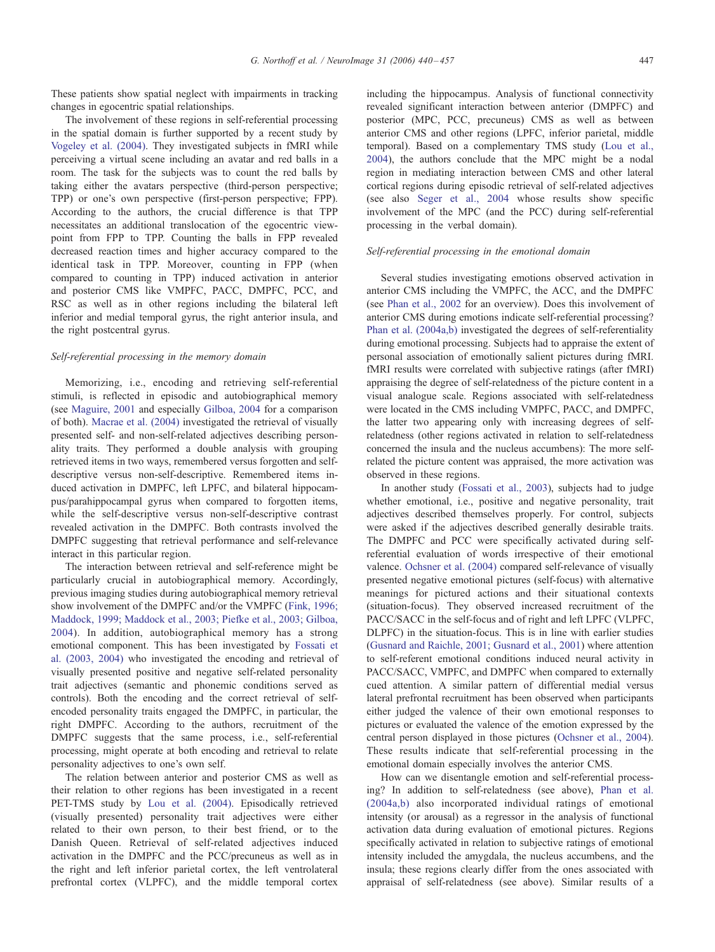These patients show spatial neglect with impairments in tracking changes in egocentric spatial relationships.

The involvement of these regions in self-referential processing in the spatial domain is further supported by a recent study by [Vogeley et al. \(2004\).](#page-17-0) They investigated subjects in fMRI while perceiving a virtual scene including an avatar and red balls in a room. The task for the subjects was to count the red balls by taking either the avatars perspective (third-person perspective; TPP) or one's own perspective (first-person perspective; FPP). According to the authors, the crucial difference is that TPP necessitates an additional translocation of the egocentric viewpoint from FPP to TPP. Counting the balls in FPP revealed decreased reaction times and higher accuracy compared to the identical task in TPP. Moreover, counting in FPP (when compared to counting in TPP) induced activation in anterior and posterior CMS like VMPFC, PACC, DMPFC, PCC, and RSC as well as in other regions including the bilateral left inferior and medial temporal gyrus, the right anterior insula, and the right postcentral gyrus.

# Self-referential processing in the memory domain

Memorizing, i.e., encoding and retrieving self-referential stimuli, is reflected in episodic and autobiographical memory (see [Maguire, 2001](#page-16-0) and especially [Gilboa, 2004](#page-15-0) for a comparison of both). [Macrae et al. \(2004\)](#page-16-0) investigated the retrieval of visually presented self- and non-self-related adjectives describing personality traits. They performed a double analysis with grouping retrieved items in two ways, remembered versus forgotten and selfdescriptive versus non-self-descriptive. Remembered items induced activation in DMPFC, left LPFC, and bilateral hippocampus/parahippocampal gyrus when compared to forgotten items, while the self-descriptive versus non-self-descriptive contrast revealed activation in the DMPFC. Both contrasts involved the DMPFC suggesting that retrieval performance and self-relevance interact in this particular region.

The interaction between retrieval and self-reference might be particularly crucial in autobiographical memory. Accordingly, previous imaging studies during autobiographical memory retrieval show involvement of the DMPFC and/or the VMPFC ([Fink, 1996;](#page-15-0) Maddock, 1999; Maddock et al., 2003; Piefke et al., 2003; Gilboa, 2004). In addition, autobiographical memory has a strong emotional component. This has been investigated by [Fossati et](#page-15-0) al. (2003, 2004) who investigated the encoding and retrieval of visually presented positive and negative self-related personality trait adjectives (semantic and phonemic conditions served as controls). Both the encoding and the correct retrieval of selfencoded personality traits engaged the DMPFC, in particular, the right DMPFC. According to the authors, recruitment of the DMPFC suggests that the same process, i.e., self-referential processing, might operate at both encoding and retrieval to relate personality adjectives to one's own self.

The relation between anterior and posterior CMS as well as their relation to other regions has been investigated in a recent PET-TMS study by [Lou et al. \(2004\).](#page-16-0) Episodically retrieved (visually presented) personality trait adjectives were either related to their own person, to their best friend, or to the Danish Queen. Retrieval of self-related adjectives induced activation in the DMPFC and the PCC/precuneus as well as in the right and left inferior parietal cortex, the left ventrolateral prefrontal cortex (VLPFC), and the middle temporal cortex including the hippocampus. Analysis of functional connectivity revealed significant interaction between anterior (DMPFC) and posterior (MPC, PCC, precuneus) CMS as well as between anterior CMS and other regions (LPFC, inferior parietal, middle temporal). Based on a complementary TMS study ([Lou et al.,](#page-16-0) 2004), the authors conclude that the MPC might be a nodal region in mediating interaction between CMS and other lateral cortical regions during episodic retrieval of self-related adjectives (see also [Seger et al., 2004](#page-17-0) whose results show specific involvement of the MPC (and the PCC) during self-referential processing in the verbal domain).

#### Self-referential processing in the emotional domain

Several studies investigating emotions observed activation in anterior CMS including the VMPFC, the ACC, and the DMPFC (see [Phan et al., 2002](#page-16-0) for an overview). Does this involvement of anterior CMS during emotions indicate self-referential processing? [Phan et al. \(2004a,b\)](#page-16-0) investigated the degrees of self-referentiality during emotional processing. Subjects had to appraise the extent of personal association of emotionally salient pictures during fMRI. fMRI results were correlated with subjective ratings (after fMRI) appraising the degree of self-relatedness of the picture content in a visual analogue scale. Regions associated with self-relatedness were located in the CMS including VMPFC, PACC, and DMPFC, the latter two appearing only with increasing degrees of selfrelatedness (other regions activated in relation to self-relatedness concerned the insula and the nucleus accumbens): The more selfrelated the picture content was appraised, the more activation was observed in these regions.

In another study ([Fossati et al., 2003\)](#page-15-0), subjects had to judge whether emotional, i.e., positive and negative personality, trait adjectives described themselves properly. For control, subjects were asked if the adjectives described generally desirable traits. The DMPFC and PCC were specifically activated during selfreferential evaluation of words irrespective of their emotional valence. [Ochsner et al. \(2004\)](#page-16-0) compared self-relevance of visually presented negative emotional pictures (self-focus) with alternative meanings for pictured actions and their situational contexts (situation-focus). They observed increased recruitment of the PACC/SACC in the self-focus and of right and left LPFC (VLPFC, DLPFC) in the situation-focus. This is in line with earlier studies ([Gusnard and Raichle, 2001; Gusnard et al., 2001\)](#page-15-0) where attention to self-referent emotional conditions induced neural activity in PACC/SACC, VMPFC, and DMPFC when compared to externally cued attention. A similar pattern of differential medial versus lateral prefrontal recruitment has been observed when participants either judged the valence of their own emotional responses to pictures or evaluated the valence of the emotion expressed by the central person displayed in those pictures ([Ochsner et al., 2004\)](#page-16-0). These results indicate that self-referential processing in the emotional domain especially involves the anterior CMS.

How can we disentangle emotion and self-referential processing? In addition to self-relatedness (see above), [Phan et al.](#page-16-0) (2004a,b) also incorporated individual ratings of emotional intensity (or arousal) as a regressor in the analysis of functional activation data during evaluation of emotional pictures. Regions specifically activated in relation to subjective ratings of emotional intensity included the amygdala, the nucleus accumbens, and the insula; these regions clearly differ from the ones associated with appraisal of self-relatedness (see above). Similar results of a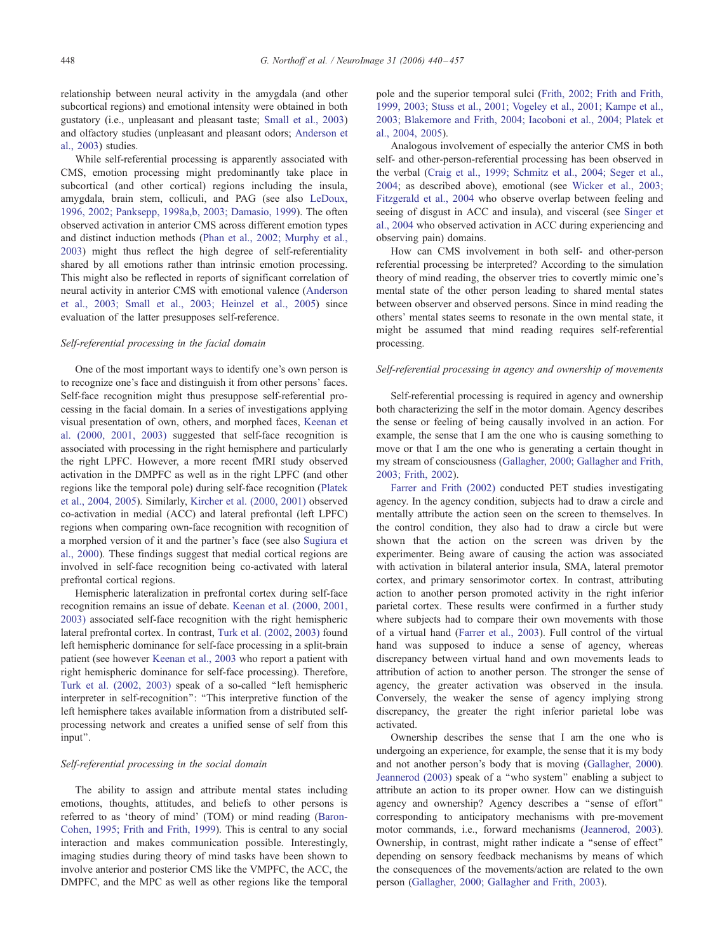relationship between neural activity in the amygdala (and other subcortical regions) and emotional intensity were obtained in both gustatory (i.e., unpleasant and pleasant taste; [Small et al., 2003\)](#page-17-0) and olfactory studies (unpleasant and pleasant odors; [Anderson et](#page-14-0) al., 2003) studies.

While self-referential processing is apparently associated with CMS, emotion processing might predominantly take place in subcortical (and other cortical) regions including the insula, amygdala, brain stem, colliculi, and PAG (see also [LeDoux,](#page-16-0) 1996, 2002; Panksepp, 1998a,b, 2003; Damasio, 1999). The often observed activation in anterior CMS across different emotion types and distinct induction methods ([Phan et al., 2002; Murphy et al.,](#page-16-0) 2003) might thus reflect the high degree of self-referentiality shared by all emotions rather than intrinsic emotion processing. This might also be reflected in reports of significant correlation of neural activity in anterior CMS with emotional valence ([Anderson](#page-14-0) et al., 2003; Small et al., 2003; Heinzel et al., 2005) since evaluation of the latter presupposes self-reference.

# Self-referential processing in the facial domain

One of the most important ways to identify one's own person is to recognize one's face and distinguish it from other persons' faces. Self-face recognition might thus presuppose self-referential processing in the facial domain. In a series of investigations applying visual presentation of own, others, and morphed faces, [Keenan et](#page-16-0) al. (2000, 2001, 2003) suggested that self-face recognition is associated with processing in the right hemisphere and particularly the right LPFC. However, a more recent fMRI study observed activation in the DMPFC as well as in the right LPFC (and other regions like the temporal pole) during self-face recognition ([Platek](#page-17-0) et al., 2004, 2005). Similarly, [Kircher et al. \(2000, 2001\)](#page-16-0) observed co-activation in medial (ACC) and lateral prefrontal (left LPFC) regions when comparing own-face recognition with recognition of a morphed version of it and the partner's face (see also [Sugiura et](#page-17-0) al., 2000). These findings suggest that medial cortical regions are involved in self-face recognition being co-activated with lateral prefrontal cortical regions.

Hemispheric lateralization in prefrontal cortex during self-face recognition remains an issue of debate. [Keenan et al. \(2000, 2001,](#page-16-0) 2003) associated self-face recognition with the right hemispheric lateral prefrontal cortex. In contrast, [Turk et al. \(2002,](#page-17-0) [2003\)](#page-17-0) found left hemispheric dominance for self-face processing in a split-brain patient (see however [Keenan et al., 2003](#page-16-0) who report a patient with right hemispheric dominance for self-face processing). Therefore, [Turk et al. \(2002, 2003\)](#page-17-0) speak of a so-called ''left hemispheric interpreter in self-recognition'': ''This interpretive function of the left hemisphere takes available information from a distributed selfprocessing network and creates a unified sense of self from this input''.

#### Self-referential processing in the social domain

The ability to assign and attribute mental states including emotions, thoughts, attitudes, and beliefs to other persons is referred to as 'theory of mind' (TOM) or mind reading ([Baron-](#page-15-0)Cohen, 1995; Frith and Frith, 1999). This is central to any social interaction and makes communication possible. Interestingly, imaging studies during theory of mind tasks have been shown to involve anterior and posterior CMS like the VMPFC, the ACC, the DMPFC, and the MPC as well as other regions like the temporal pole and the superior temporal sulci ([Frith, 2002; Frith and Frith,](#page-15-0) 1999, 2003; Stuss et al., 2001; Vogeley et al., 2001; Kampe et al., 2003; Blakemore and Frith, 2004; Iacoboni et al., 2004; Platek et al., 2004, 2005).

Analogous involvement of especially the anterior CMS in both self- and other-person-referential processing has been observed in the verbal ([Craig et al., 1999; Schmitz et al., 2004; Seger et al.,](#page-15-0) 2004; as described above), emotional (see [Wicker et al., 2003;](#page-17-0) Fitzgerald et al., 2004 who observe overlap between feeling and seeing of disgust in ACC and insula), and visceral (see [Singer et](#page-17-0) al., 2004 who observed activation in ACC during experiencing and observing pain) domains.

How can CMS involvement in both self- and other-person referential processing be interpreted? According to the simulation theory of mind reading, the observer tries to covertly mimic one's mental state of the other person leading to shared mental states between observer and observed persons. Since in mind reading the others' mental states seems to resonate in the own mental state, it might be assumed that mind reading requires self-referential processing.

# Self-referential processing in agency and ownership of movements

Self-referential processing is required in agency and ownership both characterizing the self in the motor domain. Agency describes the sense or feeling of being causally involved in an action. For example, the sense that I am the one who is causing something to move or that I am the one who is generating a certain thought in my stream of consciousness ([Gallagher, 2000; Gallagher and Frith,](#page-15-0) 2003; Frith, 2002).

[Farrer and Frith \(2002\)](#page-15-0) conducted PET studies investigating agency. In the agency condition, subjects had to draw a circle and mentally attribute the action seen on the screen to themselves. In the control condition, they also had to draw a circle but were shown that the action on the screen was driven by the experimenter. Being aware of causing the action was associated with activation in bilateral anterior insula, SMA, lateral premotor cortex, and primary sensorimotor cortex. In contrast, attributing action to another person promoted activity in the right inferior parietal cortex. These results were confirmed in a further study where subjects had to compare their own movements with those of a virtual hand ([Farrer et al., 2003\)](#page-15-0). Full control of the virtual hand was supposed to induce a sense of agency, whereas discrepancy between virtual hand and own movements leads to attribution of action to another person. The stronger the sense of agency, the greater activation was observed in the insula. Conversely, the weaker the sense of agency implying strong discrepancy, the greater the right inferior parietal lobe was activated.

Ownership describes the sense that I am the one who is undergoing an experience, for example, the sense that it is my body and not another person's body that is moving ([Gallagher, 2000\)](#page-15-0). [Jeannerod \(2003\)](#page-16-0) speak of a ''who system'' enabling a subject to attribute an action to its proper owner. How can we distinguish agency and ownership? Agency describes a ''sense of effort'' corresponding to anticipatory mechanisms with pre-movement motor commands, i.e., forward mechanisms ([Jeannerod, 2003\)](#page-16-0). Ownership, in contrast, might rather indicate a ''sense of effect'' depending on sensory feedback mechanisms by means of which the consequences of the movements/action are related to the own person ([Gallagher, 2000; Gallagher and Frith, 2003\)](#page-15-0).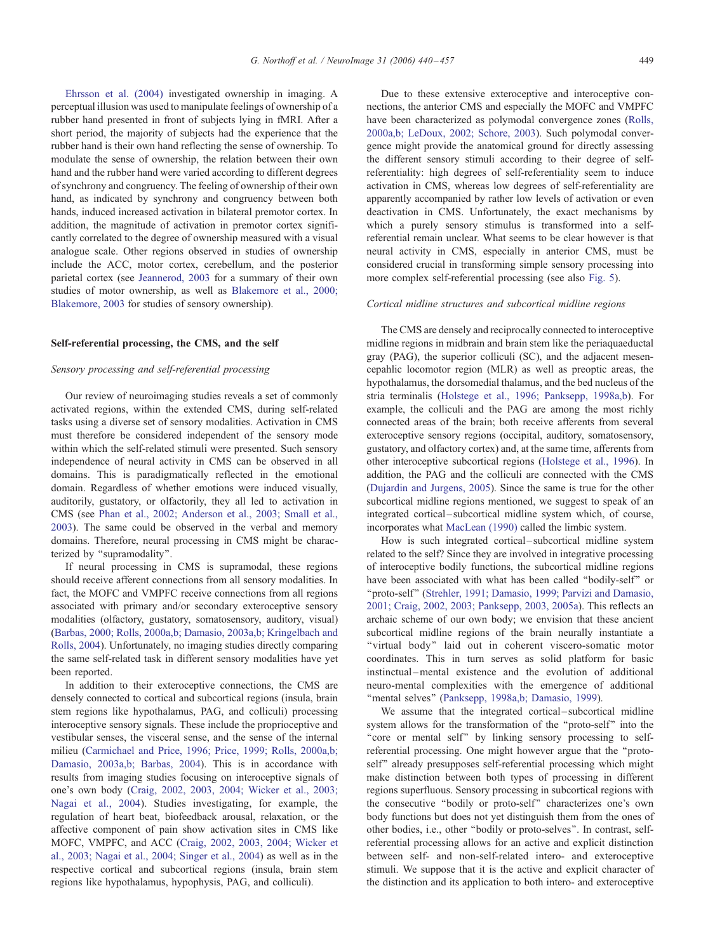[Ehrsson et al. \(2004\)](#page-15-0) investigated ownership in imaging. A perceptual illusion was used to manipulate feelings of ownership of a rubber hand presented in front of subjects lying in fMRI. After a short period, the majority of subjects had the experience that the rubber hand is their own hand reflecting the sense of ownership. To modulate the sense of ownership, the relation between their own hand and the rubber hand were varied according to different degrees of synchrony and congruency. The feeling of ownership of their own hand, as indicated by synchrony and congruency between both hands, induced increased activation in bilateral premotor cortex. In addition, the magnitude of activation in premotor cortex significantly correlated to the degree of ownership measured with a visual analogue scale. Other regions observed in studies of ownership include the ACC, motor cortex, cerebellum, and the posterior parietal cortex (see [Jeannerod, 2003](#page-16-0) for a summary of their own studies of motor ownership, as well as [Blakemore et al., 2000;](#page-15-0) Blakemore, 2003 for studies of sensory ownership).

# Self-referential processing, the CMS, and the self

# Sensory processing and self-referential processing

Our review of neuroimaging studies reveals a set of commonly activated regions, within the extended CMS, during self-related tasks using a diverse set of sensory modalities. Activation in CMS must therefore be considered independent of the sensory mode within which the self-related stimuli were presented. Such sensory independence of neural activity in CMS can be observed in all domains. This is paradigmatically reflected in the emotional domain. Regardless of whether emotions were induced visually, auditorily, gustatory, or olfactorily, they all led to activation in CMS (see [Phan et al., 2002; Anderson et al., 2003; Small et al.,](#page-16-0) 2003). The same could be observed in the verbal and memory domains. Therefore, neural processing in CMS might be characterized by "supramodality".

If neural processing in CMS is supramodal, these regions should receive afferent connections from all sensory modalities. In fact, the MOFC and VMPFC receive connections from all regions associated with primary and/or secondary exteroceptive sensory modalities (olfactory, gustatory, somatosensory, auditory, visual) ([Barbas, 2000; Rolls, 2000a,b; Damasio, 2003a,b; Kringelbach and](#page-15-0) Rolls, 2004). Unfortunately, no imaging studies directly comparing the same self-related task in different sensory modalities have yet been reported.

In addition to their exteroceptive connections, the CMS are densely connected to cortical and subcortical regions (insula, brain stem regions like hypothalamus, PAG, and colliculi) processing interoceptive sensory signals. These include the proprioceptive and vestibular senses, the visceral sense, and the sense of the internal milieu ([Carmichael and Price, 1996; Price, 1999; Rolls, 2000a,b;](#page-15-0) Damasio, 2003a,b; Barbas, 2004). This is in accordance with results from imaging studies focusing on interoceptive signals of one's own body ([Craig, 2002, 2003, 2004; Wicker et al., 2003;](#page-15-0) Nagai et al., 2004). Studies investigating, for example, the regulation of heart beat, biofeedback arousal, relaxation, or the affective component of pain show activation sites in CMS like MOFC, VMPFC, and ACC ([Craig, 2002, 2003, 2004; Wicker et](#page-15-0) al., 2003; Nagai et al., 2004; Singer et al., 2004) as well as in the respective cortical and subcortical regions (insula, brain stem regions like hypothalamus, hypophysis, PAG, and colliculi).

Due to these extensive exteroceptive and interoceptive connections, the anterior CMS and especially the MOFC and VMPFC have been characterized as polymodal convergence zones ([Rolls,](#page-17-0) 2000a,b; LeDoux, 2002; Schore, 2003). Such polymodal convergence might provide the anatomical ground for directly assessing the different sensory stimuli according to their degree of selfreferentiality: high degrees of self-referentiality seem to induce activation in CMS, whereas low degrees of self-referentiality are apparently accompanied by rather low levels of activation or even deactivation in CMS. Unfortunately, the exact mechanisms by which a purely sensory stimulus is transformed into a selfreferential remain unclear. What seems to be clear however is that neural activity in CMS, especially in anterior CMS, must be considered crucial in transforming simple sensory processing into more complex self-referential processing (see also [Fig. 5\)](#page-10-0).

#### Cortical midline structures and subcortical midline regions

The CMS are densely and reciprocally connected to interoceptive midline regions in midbrain and brain stem like the periaquaeductal gray (PAG), the superior colliculi (SC), and the adjacent mesencepahlic locomotor region (MLR) as well as preoptic areas, the hypothalamus, the dorsomedial thalamus, and the bed nucleus of the stria terminalis ([Holstege et al., 1996; Panksepp, 1998a,b\)](#page-16-0). For example, the colliculi and the PAG are among the most richly connected areas of the brain; both receive afferents from several exteroceptive sensory regions (occipital, auditory, somatosensory, gustatory, and olfactory cortex) and, at the same time, afferents from other interoceptive subcortical regions ([Holstege et al., 1996\)](#page-16-0). In addition, the PAG and the colliculi are connected with the CMS ([Dujardin and Jurgens, 2005\)](#page-15-0). Since the same is true for the other subcortical midline regions mentioned, we suggest to speak of an integrated cortical – subcortical midline system which, of course, incorporates what [MacLean \(1990\)](#page-16-0) called the limbic system.

How is such integrated cortical – subcortical midline system related to the self? Since they are involved in integrative processing of interoceptive bodily functions, the subcortical midline regions have been associated with what has been called ''bodily-self'' or ''proto-self'' ([Strehler, 1991; Damasio, 1999; Parvizi and Damasio,](#page-17-0) 2001; Craig, 2002, 2003; Panksepp, 2003, 2005a). This reflects an archaic scheme of our own body; we envision that these ancient subcortical midline regions of the brain neurally instantiate a ''virtual body'' laid out in coherent viscero-somatic motor coordinates. This in turn serves as solid platform for basic instinctual –mental existence and the evolution of additional neuro-mental complexities with the emergence of additional "mental selves" ([Panksepp, 1998a,b; Damasio, 1999\)](#page-16-0).

We assume that the integrated cortical-subcortical midline system allows for the transformation of the ''proto-self'' into the "core or mental self" by linking sensory processing to selfreferential processing. One might however argue that the ''protoself'' already presupposes self-referential processing which might make distinction between both types of processing in different regions superfluous. Sensory processing in subcortical regions with the consecutive ''bodily or proto-self'' characterizes one's own body functions but does not yet distinguish them from the ones of other bodies, i.e., other ''bodily or proto-selves''. In contrast, selfreferential processing allows for an active and explicit distinction between self- and non-self-related intero- and exteroceptive stimuli. We suppose that it is the active and explicit character of the distinction and its application to both intero- and exteroceptive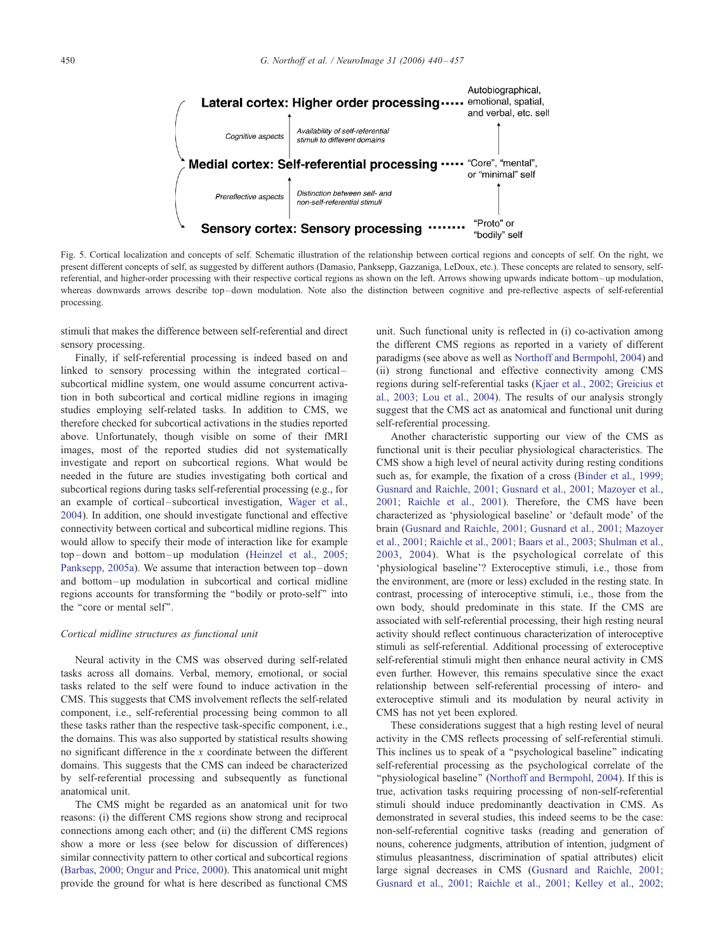<span id="page-10-0"></span>

Fig. 5. Cortical localization and concepts of self. Schematic illustration of the relationship between cortical regions and concepts of self. On the right, we present different concepts of self, as suggested by different authors (Damasio, Panksepp, Gazzaniga, LeDoux, etc.). These concepts are related to sensory, selfreferential, and higher-order processing with their respective cortical regions as shown on the left. Arrows showing upwards indicate bottom – up modulation, whereas downwards arrows describe top-down modulation. Note also the distinction between cognitive and pre-reflective aspects of self-referential processing.

stimuli that makes the difference between self-referential and direct sensory processing.

Finally, if self-referential processing is indeed based on and linked to sensory processing within the integrated cortical – subcortical midline system, one would assume concurrent activation in both subcortical and cortical midline regions in imaging studies employing self-related tasks. In addition to CMS, we therefore checked for subcortical activations in the studies reported above. Unfortunately, though visible on some of their fMRI images, most of the reported studies did not systematically investigate and report on subcortical regions. What would be needed in the future are studies investigating both cortical and subcortical regions during tasks self-referential processing (e.g., for an example of cortical – subcortical investigation, [Wager et al.,](#page-17-0) 2004). In addition, one should investigate functional and effective connectivity between cortical and subcortical midline regions. This would allow to specify their mode of interaction like for example top-down and bottom-up modulation ([Heinzel et al., 2005;](#page-15-0) Panksepp, 2005a). We assume that interaction between top – down and bottom-up modulation in subcortical and cortical midline regions accounts for transforming the ''bodily or proto-self'' into the "core or mental self".

#### Cortical midline structures as functional unit

Neural activity in the CMS was observed during self-related tasks across all domains. Verbal, memory, emotional, or social tasks related to the self were found to induce activation in the CMS. This suggests that CMS involvement reflects the self-related component, i.e., self-referential processing being common to all these tasks rather than the respective task-specific component, i.e., the domains. This was also supported by statistical results showing no significant difference in the x coordinate between the different domains. This suggests that the CMS can indeed be characterized by self-referential processing and subsequently as functional anatomical unit.

The CMS might be regarded as an anatomical unit for two reasons: (i) the different CMS regions show strong and reciprocal connections among each other; and (ii) the different CMS regions show a more or less (see below for discussion of differences) similar connectivity pattern to other cortical and subcortical regions ([Barbas, 2000; Ongur and Price, 2000\)](#page-15-0). This anatomical unit might provide the ground for what is here described as functional CMS unit. Such functional unity is reflected in (i) co-activation among the different CMS regions as reported in a variety of different paradigms (see above as well as [Northoff and Bermpohl, 2004\)](#page-16-0) and (ii) strong functional and effective connectivity among CMS regions during self-referential tasks ([Kjaer et al., 2002; Greicius et](#page-16-0) al., 2003; Lou et al., 2004). The results of our analysis strongly suggest that the CMS act as anatomical and functional unit during self-referential processing.

Another characteristic supporting our view of the CMS as functional unit is their peculiar physiological characteristics. The CMS show a high level of neural activity during resting conditions such as, for example, the fixation of a cross ([Binder et al., 1999;](#page-15-0) Gusnard and Raichle, 2001; Gusnard et al., 2001; Mazoyer et al., 2001; Raichle et al., 2001). Therefore, the CMS have been characterized as 'physiological baseline' or 'default mode' of the brain ([Gusnard and Raichle, 2001; Gusnard et al., 2001; Mazoyer](#page-15-0) et al., 2001; Raichle et al., 2001; Baars et al., 2003; Shulman et al., 2003, 2004). What is the psychological correlate of this 'physiological baseline'? Exteroceptive stimuli, i.e., those from the environment, are (more or less) excluded in the resting state. In contrast, processing of interoceptive stimuli, i.e., those from the own body, should predominate in this state. If the CMS are associated with self-referential processing, their high resting neural activity should reflect continuous characterization of interoceptive stimuli as self-referential. Additional processing of exteroceptive self-referential stimuli might then enhance neural activity in CMS even further. However, this remains speculative since the exact relationship between self-referential processing of intero- and exteroceptive stimuli and its modulation by neural activity in CMS has not yet been explored.

These considerations suggest that a high resting level of neural activity in the CMS reflects processing of self-referential stimuli. This inclines us to speak of a ''psychological baseline'' indicating self-referential processing as the psychological correlate of the "physiological baseline" ([Northoff and Bermpohl, 2004\)](#page-16-0). If this is true, activation tasks requiring processing of non-self-referential stimuli should induce predominantly deactivation in CMS. As demonstrated in several studies, this indeed seems to be the case: non-self-referential cognitive tasks (reading and generation of nouns, coherence judgments, attribution of intention, judgment of stimulus pleasantness, discrimination of spatial attributes) elicit large signal decreases in CMS ([Gusnard and Raichle, 2001;](#page-15-0) Gusnard et al., 2001; Raichle et al., 2001; Kelley et al., 2002;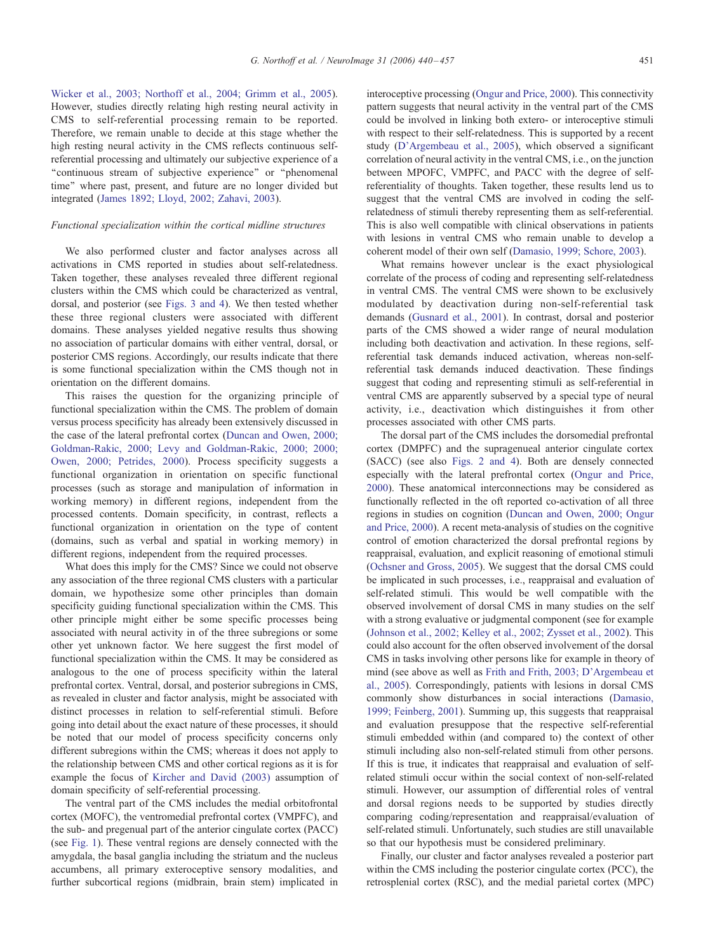Wicker et al., 2003; Northoff et al., 2004; Grimm et al., 2005). However, studies directly relating high resting neural activity in CMS to self-referential processing remain to be reported. Therefore, we remain unable to decide at this stage whether the high resting neural activity in the CMS reflects continuous selfreferential processing and ultimately our subjective experience of a ''continuous stream of subjective experience'' or ''phenomenal time'' where past, present, and future are no longer divided but integrated ([James 1892; Lloyd, 2002; Zahavi, 2003\)](#page-16-0).

#### Functional specialization within the cortical midline structures

We also performed cluster and factor analyses across all activations in CMS reported in studies about self-relatedness. Taken together, these analyses revealed three different regional clusters within the CMS which could be characterized as ventral, dorsal, and posterior (see [Figs. 3 and 4\)](#page-5-0). We then tested whether these three regional clusters were associated with different domains. These analyses yielded negative results thus showing no association of particular domains with either ventral, dorsal, or posterior CMS regions. Accordingly, our results indicate that there is some functional specialization within the CMS though not in orientation on the different domains.

This raises the question for the organizing principle of functional specialization within the CMS. The problem of domain versus process specificity has already been extensively discussed in the case of the lateral prefrontal cortex ([Duncan and Owen, 2000;](#page-15-0) Goldman-Rakic, 2000; Levy and Goldman-Rakic, 2000; 2000; Owen, 2000; Petrides, 2000). Process specificity suggests a functional organization in orientation on specific functional processes (such as storage and manipulation of information in working memory) in different regions, independent from the processed contents. Domain specificity, in contrast, reflects a functional organization in orientation on the type of content (domains, such as verbal and spatial in working memory) in different regions, independent from the required processes.

What does this imply for the CMS? Since we could not observe any association of the three regional CMS clusters with a particular domain, we hypothesize some other principles than domain specificity guiding functional specialization within the CMS. This other principle might either be some specific processes being associated with neural activity in of the three subregions or some other yet unknown factor. We here suggest the first model of functional specialization within the CMS. It may be considered as analogous to the one of process specificity within the lateral prefrontal cortex. Ventral, dorsal, and posterior subregions in CMS, as revealed in cluster and factor analysis, might be associated with distinct processes in relation to self-referential stimuli. Before going into detail about the exact nature of these processes, it should be noted that our model of process specificity concerns only different subregions within the CMS; whereas it does not apply to the relationship between CMS and other cortical regions as it is for example the focus of [Kircher and David \(2003\)](#page-16-0) assumption of domain specificity of self-referential processing.

The ventral part of the CMS includes the medial orbitofrontal cortex (MOFC), the ventromedial prefrontal cortex (VMPFC), and the sub- and pregenual part of the anterior cingulate cortex (PACC) (see [Fig. 1](#page-2-0)). These ventral regions are densely connected with the amygdala, the basal ganglia including the striatum and the nucleus accumbens, all primary exteroceptive sensory modalities, and further subcortical regions (midbrain, brain stem) implicated in

interoceptive processing ([Ongur and Price, 2000\)](#page-16-0). This connectivity pattern suggests that neural activity in the ventral part of the CMS could be involved in linking both extero- or interoceptive stimuli with respect to their self-relatedness. This is supported by a recent study ([D'Argembeau et al., 2005\)](#page-15-0), which observed a significant correlation of neural activity in the ventral CMS, i.e., on the junction between MPOFC, VMPFC, and PACC with the degree of selfreferentiality of thoughts. Taken together, these results lend us to suggest that the ventral CMS are involved in coding the selfrelatedness of stimuli thereby representing them as self-referential. This is also well compatible with clinical observations in patients with lesions in ventral CMS who remain unable to develop a coherent model of their own self ([Damasio, 1999; Schore, 2003\)](#page-15-0).

What remains however unclear is the exact physiological correlate of the process of coding and representing self-relatedness in ventral CMS. The ventral CMS were shown to be exclusively modulated by deactivation during non-self-referential task demands ([Gusnard et al., 2001\)](#page-15-0). In contrast, dorsal and posterior parts of the CMS showed a wider range of neural modulation including both deactivation and activation. In these regions, selfreferential task demands induced activation, whereas non-selfreferential task demands induced deactivation. These findings suggest that coding and representing stimuli as self-referential in ventral CMS are apparently subserved by a special type of neural activity, i.e., deactivation which distinguishes it from other processes associated with other CMS parts.

The dorsal part of the CMS includes the dorsomedial prefrontal cortex (DMPFC) and the supragenueal anterior cingulate cortex (SACC) (see also [Figs. 2 and 4\)](#page-4-0). Both are densely connected especially with the lateral prefrontal cortex ([Ongur and Price,](#page-16-0) 2000). These anatomical interconnections may be considered as functionally reflected in the oft reported co-activation of all three regions in studies on cognition ([Duncan and Owen, 2000; Ongur](#page-15-0) and Price, 2000). A recent meta-analysis of studies on the cognitive control of emotion characterized the dorsal prefrontal regions by reappraisal, evaluation, and explicit reasoning of emotional stimuli ([Ochsner and Gross, 2005\)](#page-16-0). We suggest that the dorsal CMS could be implicated in such processes, i.e., reappraisal and evaluation of self-related stimuli. This would be well compatible with the observed involvement of dorsal CMS in many studies on the self with a strong evaluative or judgmental component (see for example ([Johnson et al., 2002; Kelley et al., 2002; Zysset et al., 2002\)](#page-16-0). This could also account for the often observed involvement of the dorsal CMS in tasks involving other persons like for example in theory of mind (see above as well as [Frith and Frith, 2003; D'Argembeau et](#page-15-0) al., 2005). Correspondingly, patients with lesions in dorsal CMS commonly show disturbances in social interactions ([Damasio,](#page-15-0) 1999; Feinberg, 2001). Summing up, this suggests that reappraisal and evaluation presuppose that the respective self-referential stimuli embedded within (and compared to) the context of other stimuli including also non-self-related stimuli from other persons. If this is true, it indicates that reappraisal and evaluation of selfrelated stimuli occur within the social context of non-self-related stimuli. However, our assumption of differential roles of ventral and dorsal regions needs to be supported by studies directly comparing coding/representation and reappraisal/evaluation of self-related stimuli. Unfortunately, such studies are still unavailable so that our hypothesis must be considered preliminary.

Finally, our cluster and factor analyses revealed a posterior part within the CMS including the posterior cingulate cortex (PCC), the retrosplenial cortex (RSC), and the medial parietal cortex (MPC)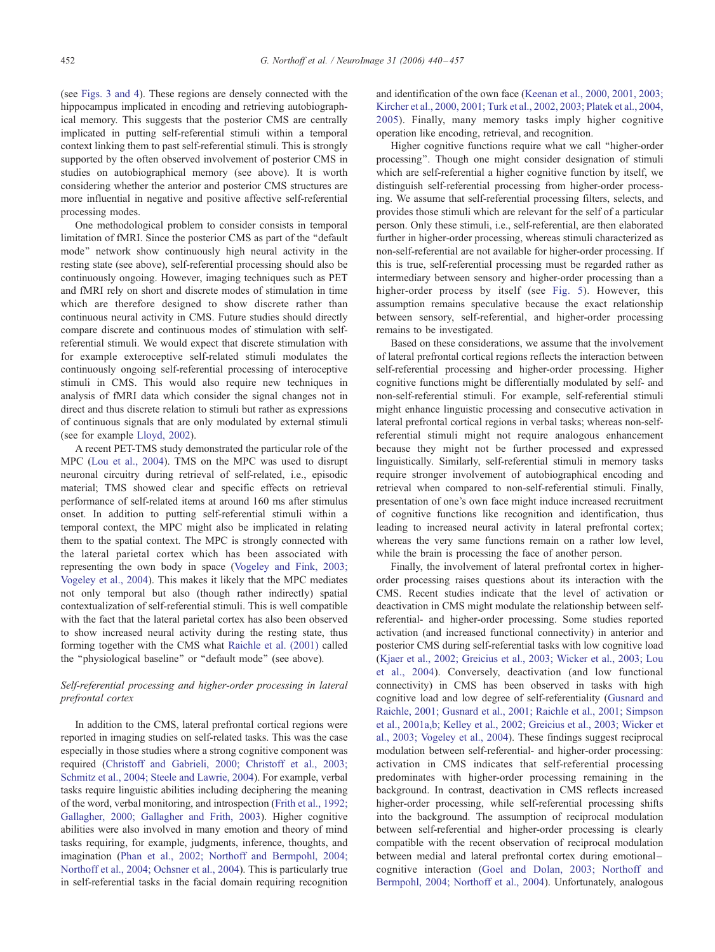(see [Figs. 3 and 4](#page-5-0)). These regions are densely connected with the hippocampus implicated in encoding and retrieving autobiographical memory. This suggests that the posterior CMS are centrally implicated in putting self-referential stimuli within a temporal context linking them to past self-referential stimuli. This is strongly supported by the often observed involvement of posterior CMS in studies on autobiographical memory (see above). It is worth considering whether the anterior and posterior CMS structures are more influential in negative and positive affective self-referential processing modes.

One methodological problem to consider consists in temporal limitation of fMRI. Since the posterior CMS as part of the ''default mode'' network show continuously high neural activity in the resting state (see above), self-referential processing should also be continuously ongoing. However, imaging techniques such as PET and fMRI rely on short and discrete modes of stimulation in time which are therefore designed to show discrete rather than continuous neural activity in CMS. Future studies should directly compare discrete and continuous modes of stimulation with selfreferential stimuli. We would expect that discrete stimulation with for example exteroceptive self-related stimuli modulates the continuously ongoing self-referential processing of interoceptive stimuli in CMS. This would also require new techniques in analysis of fMRI data which consider the signal changes not in direct and thus discrete relation to stimuli but rather as expressions of continuous signals that are only modulated by external stimuli (see for example [Lloyd, 2002\)](#page-16-0).

A recent PET-TMS study demonstrated the particular role of the MPC [\(Lou et al., 2004\)](#page-16-0). TMS on the MPC was used to disrupt neuronal circuitry during retrieval of self-related, i.e., episodic material; TMS showed clear and specific effects on retrieval performance of self-related items at around 160 ms after stimulus onset. In addition to putting self-referential stimuli within a temporal context, the MPC might also be implicated in relating them to the spatial context. The MPC is strongly connected with the lateral parietal cortex which has been associated with representing the own body in space ([Vogeley and Fink, 2003;](#page-17-0) Vogeley et al., 2004). This makes it likely that the MPC mediates not only temporal but also (though rather indirectly) spatial contextualization of self-referential stimuli. This is well compatible with the fact that the lateral parietal cortex has also been observed to show increased neural activity during the resting state, thus forming together with the CMS what [Raichle et al. \(2001\)](#page-17-0) called the "physiological baseline" or "default mode" (see above).

# Self-referential processing and higher-order processing in lateral prefrontal cortex

In addition to the CMS, lateral prefrontal cortical regions were reported in imaging studies on self-related tasks. This was the case especially in those studies where a strong cognitive component was required ([Christoff and Gabrieli, 2000; Christoff et al., 2003;](#page-15-0) Schmitz et al., 2004; Steele and Lawrie, 2004). For example, verbal tasks require linguistic abilities including deciphering the meaning of the word, verbal monitoring, and introspection ([Frith et al., 1992;](#page-15-0) Gallagher, 2000; Gallagher and Frith, 2003). Higher cognitive abilities were also involved in many emotion and theory of mind tasks requiring, for example, judgments, inference, thoughts, and imagination ([Phan et al., 2002; Northoff and Bermpohl, 2004;](#page-16-0) Northoff et al., 2004; Ochsner et al., 2004). This is particularly true in self-referential tasks in the facial domain requiring recognition and identification of the own face ([Keenan et al., 2000, 2001, 2003;](#page-16-0) Kircher et al., 2000, 2001; Turk et al., 2002, 2003; Platek et al., 2004, 2005). Finally, many memory tasks imply higher cognitive operation like encoding, retrieval, and recognition.

Higher cognitive functions require what we call ''higher-order processing''. Though one might consider designation of stimuli which are self-referential a higher cognitive function by itself, we distinguish self-referential processing from higher-order processing. We assume that self-referential processing filters, selects, and provides those stimuli which are relevant for the self of a particular person. Only these stimuli, i.e., self-referential, are then elaborated further in higher-order processing, whereas stimuli characterized as non-self-referential are not available for higher-order processing. If this is true, self-referential processing must be regarded rather as intermediary between sensory and higher-order processing than a higher-order process by itself (see [Fig. 5\)](#page-10-0). However, this assumption remains speculative because the exact relationship between sensory, self-referential, and higher-order processing remains to be investigated.

Based on these considerations, we assume that the involvement of lateral prefrontal cortical regions reflects the interaction between self-referential processing and higher-order processing. Higher cognitive functions might be differentially modulated by self- and non-self-referential stimuli. For example, self-referential stimuli might enhance linguistic processing and consecutive activation in lateral prefrontal cortical regions in verbal tasks; whereas non-selfreferential stimuli might not require analogous enhancement because they might not be further processed and expressed linguistically. Similarly, self-referential stimuli in memory tasks require stronger involvement of autobiographical encoding and retrieval when compared to non-self-referential stimuli. Finally, presentation of one's own face might induce increased recruitment of cognitive functions like recognition and identification, thus leading to increased neural activity in lateral prefrontal cortex; whereas the very same functions remain on a rather low level, while the brain is processing the face of another person.

Finally, the involvement of lateral prefrontal cortex in higherorder processing raises questions about its interaction with the CMS. Recent studies indicate that the level of activation or deactivation in CMS might modulate the relationship between selfreferential- and higher-order processing. Some studies reported activation (and increased functional connectivity) in anterior and posterior CMS during self-referential tasks with low cognitive load ([Kjaer et al., 2002; Greicius et al., 2003; Wicker et al., 2003; Lou](#page-16-0) et al., 2004). Conversely, deactivation (and low functional connectivity) in CMS has been observed in tasks with high cognitive load and low degree of self-referentiality ([Gusnard and](#page-15-0) Raichle, 2001; Gusnard et al., 2001; Raichle et al., 2001; Simpson et al., 2001a,b; Kelley et al., 2002; Greicius et al., 2003; Wicker et al., 2003; Vogeley et al., 2004). These findings suggest reciprocal modulation between self-referential- and higher-order processing: activation in CMS indicates that self-referential processing predominates with higher-order processing remaining in the background. In contrast, deactivation in CMS reflects increased higher-order processing, while self-referential processing shifts into the background. The assumption of reciprocal modulation between self-referential and higher-order processing is clearly compatible with the recent observation of reciprocal modulation between medial and lateral prefrontal cortex during emotional – cognitive interaction ([Goel and Dolan, 2003; Northoff and](#page-15-0) Bermpohl, 2004; Northoff et al., 2004). Unfortunately, analogous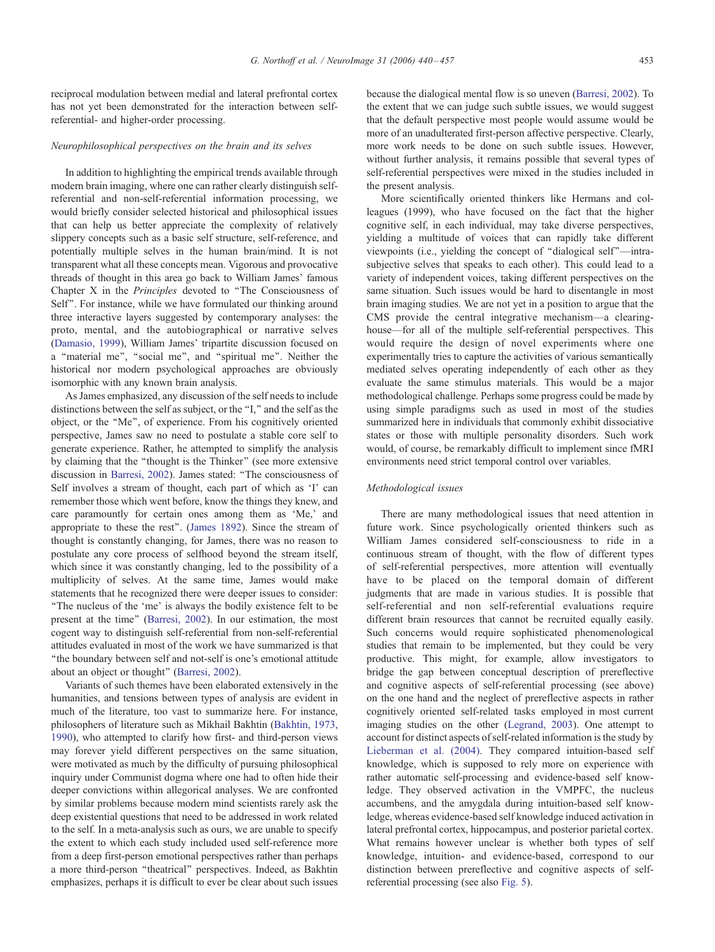reciprocal modulation between medial and lateral prefrontal cortex has not yet been demonstrated for the interaction between selfreferential- and higher-order processing.

# Neurophilosophical perspectives on the brain and its selves

In addition to highlighting the empirical trends available through modern brain imaging, where one can rather clearly distinguish selfreferential and non-self-referential information processing, we would briefly consider selected historical and philosophical issues that can help us better appreciate the complexity of relatively slippery concepts such as a basic self structure, self-reference, and potentially multiple selves in the human brain/mind. It is not transparent what all these concepts mean. Vigorous and provocative threads of thought in this area go back to William James' famous Chapter X in the Principles devoted to ''The Consciousness of Self''. For instance, while we have formulated our thinking around three interactive layers suggested by contemporary analyses: the proto, mental, and the autobiographical or narrative selves ([Damasio, 1999\)](#page-15-0), William James' tripartite discussion focused on a "material me", "social me", and "spiritual me". Neither the historical nor modern psychological approaches are obviously isomorphic with any known brain analysis.

As James emphasized, any discussion of the self needs to include distinctions between the self as subject, or the "I," and the self as the object, or the ''Me'', of experience. From his cognitively oriented perspective, James saw no need to postulate a stable core self to generate experience. Rather, he attempted to simplify the analysis by claiming that the ''thought is the Thinker'' (see more extensive discussion in [Barresi, 2002\)](#page-15-0). James stated: ''The consciousness of Self involves a stream of thought, each part of which as 'I' can remember those which went before, know the things they knew, and care paramountly for certain ones among them as 'Me,' and appropriate to these the rest''. ([James 1892\)](#page-16-0). Since the stream of thought is constantly changing, for James, there was no reason to postulate any core process of selfhood beyond the stream itself, which since it was constantly changing, led to the possibility of a multiplicity of selves. At the same time, James would make statements that he recognized there were deeper issues to consider: "The nucleus of the 'me' is always the bodily existence felt to be present at the time'' ([Barresi, 2002\)](#page-15-0). In our estimation, the most cogent way to distinguish self-referential from non-self-referential attitudes evaluated in most of the work we have summarized is that ''the boundary between self and not-self is one's emotional attitude about an object or thought'' ([Barresi, 2002\)](#page-15-0).

Variants of such themes have been elaborated extensively in the humanities, and tensions between types of analysis are evident in much of the literature, too vast to summarize here. For instance, philosophers of literature such as Mikhail Bakhtin ([Bakhtin, 1973,](#page-15-0) 1990), who attempted to clarify how first- and third-person views may forever yield different perspectives on the same situation, were motivated as much by the difficulty of pursuing philosophical inquiry under Communist dogma where one had to often hide their deeper convictions within allegorical analyses. We are confronted by similar problems because modern mind scientists rarely ask the deep existential questions that need to be addressed in work related to the self. In a meta-analysis such as ours, we are unable to specify the extent to which each study included used self-reference more from a deep first-person emotional perspectives rather than perhaps a more third-person ''theatrical'' perspectives. Indeed, as Bakhtin emphasizes, perhaps it is difficult to ever be clear about such issues

because the dialogical mental flow is so uneven ([Barresi, 2002\)](#page-15-0). To the extent that we can judge such subtle issues, we would suggest that the default perspective most people would assume would be more of an unadulterated first-person affective perspective. Clearly, more work needs to be done on such subtle issues. However, without further analysis, it remains possible that several types of self-referential perspectives were mixed in the studies included in the present analysis.

More scientifically oriented thinkers like Hermans and colleagues (1999), who have focused on the fact that the higher cognitive self, in each individual, may take diverse perspectives, yielding a multitude of voices that can rapidly take different viewpoints (i.e., yielding the concept of ''dialogical self''—intrasubjective selves that speaks to each other). This could lead to a variety of independent voices, taking different perspectives on the same situation. Such issues would be hard to disentangle in most brain imaging studies. We are not yet in a position to argue that the CMS provide the central integrative mechanism—a clearinghouse—for all of the multiple self-referential perspectives. This would require the design of novel experiments where one experimentally tries to capture the activities of various semantically mediated selves operating independently of each other as they evaluate the same stimulus materials. This would be a major methodological challenge. Perhaps some progress could be made by using simple paradigms such as used in most of the studies summarized here in individuals that commonly exhibit dissociative states or those with multiple personality disorders. Such work would, of course, be remarkably difficult to implement since fMRI environments need strict temporal control over variables.

# Methodological issues

There are many methodological issues that need attention in future work. Since psychologically oriented thinkers such as William James considered self-consciousness to ride in a continuous stream of thought, with the flow of different types of self-referential perspectives, more attention will eventually have to be placed on the temporal domain of different judgments that are made in various studies. It is possible that self-referential and non self-referential evaluations require different brain resources that cannot be recruited equally easily. Such concerns would require sophisticated phenomenological studies that remain to be implemented, but they could be very productive. This might, for example, allow investigators to bridge the gap between conceptual description of prereflective and cognitive aspects of self-referential processing (see above) on the one hand and the neglect of prereflective aspects in rather cognitively oriented self-related tasks employed in most current imaging studies on the other ([Legrand, 2003\)](#page-16-0). One attempt to account for distinct aspects of self-related information is the study by [Lieberman et al. \(2004\).](#page-16-0) They compared intuition-based self knowledge, which is supposed to rely more on experience with rather automatic self-processing and evidence-based self knowledge. They observed activation in the VMPFC, the nucleus accumbens, and the amygdala during intuition-based self knowledge, whereas evidence-based self knowledge induced activation in lateral prefrontal cortex, hippocampus, and posterior parietal cortex. What remains however unclear is whether both types of self knowledge, intuition- and evidence-based, correspond to our distinction between prereflective and cognitive aspects of selfreferential processing (see also [Fig. 5\)](#page-10-0).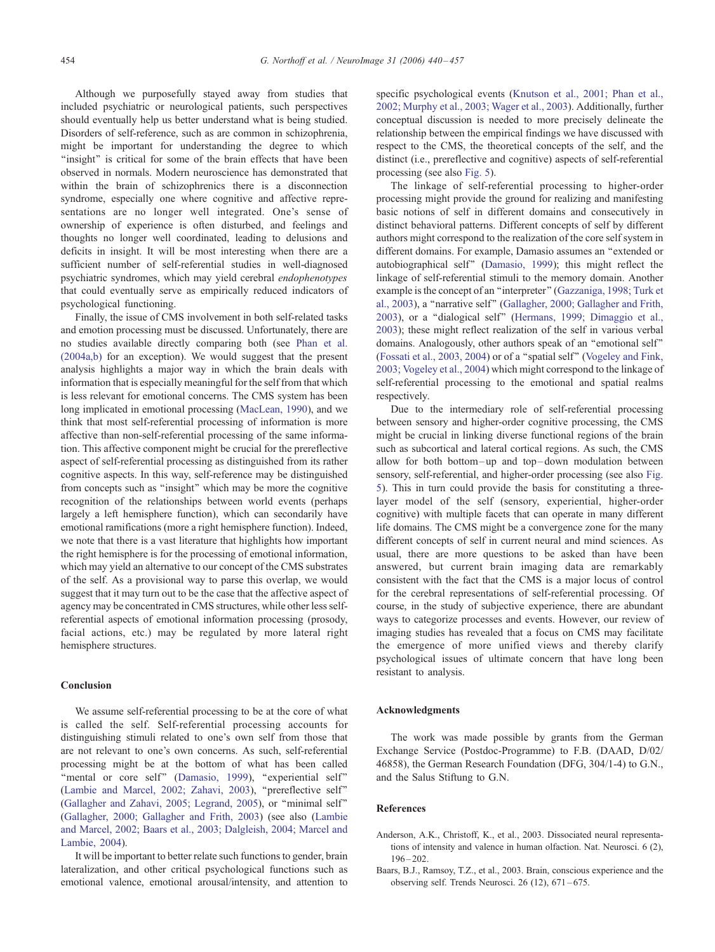<span id="page-14-0"></span>Although we purposefully stayed away from studies that included psychiatric or neurological patients, such perspectives should eventually help us better understand what is being studied. Disorders of self-reference, such as are common in schizophrenia, might be important for understanding the degree to which "insight" is critical for some of the brain effects that have been observed in normals. Modern neuroscience has demonstrated that within the brain of schizophrenics there is a disconnection syndrome, especially one where cognitive and affective representations are no longer well integrated. One's sense of ownership of experience is often disturbed, and feelings and thoughts no longer well coordinated, leading to delusions and deficits in insight. It will be most interesting when there are a sufficient number of self-referential studies in well-diagnosed psychiatric syndromes, which may yield cerebral endophenotypes that could eventually serve as empirically reduced indicators of psychological functioning.

Finally, the issue of CMS involvement in both self-related tasks and emotion processing must be discussed. Unfortunately, there are no studies available directly comparing both (see [Phan et al.](#page-16-0) (2004a,b) for an exception). We would suggest that the present analysis highlights a major way in which the brain deals with information that is especially meaningful for the self from that which is less relevant for emotional concerns. The CMS system has been long implicated in emotional processing ([MacLean, 1990\)](#page-16-0), and we think that most self-referential processing of information is more affective than non-self-referential processing of the same information. This affective component might be crucial for the prereflective aspect of self-referential processing as distinguished from its rather cognitive aspects. In this way, self-reference may be distinguished from concepts such as ''insight'' which may be more the cognitive recognition of the relationships between world events (perhaps largely a left hemisphere function), which can secondarily have emotional ramifications (more a right hemisphere function). Indeed, we note that there is a vast literature that highlights how important the right hemisphere is for the processing of emotional information, which may yield an alternative to our concept of the CMS substrates of the self. As a provisional way to parse this overlap, we would suggest that it may turn out to be the case that the affective aspect of agency may be concentrated in CMS structures, while other less selfreferential aspects of emotional information processing (prosody, facial actions, etc.) may be regulated by more lateral right hemisphere structures.

# Conclusion

We assume self-referential processing to be at the core of what is called the self. Self-referential processing accounts for distinguishing stimuli related to one's own self from those that are not relevant to one's own concerns. As such, self-referential processing might be at the bottom of what has been called "mental or core self" ([Damasio, 1999\)](#page-15-0), "experiential self" ([Lambie and Marcel, 2002; Zahavi, 2003\)](#page-16-0), ''prereflective self'' ([Gallagher and Zahavi, 2005; Legrand, 2005\)](#page-15-0), or ''minimal self'' ([Gallagher, 2000; Gallagher and Frith, 2003\)](#page-15-0) (see also ([Lambie](#page-16-0) and Marcel, 2002; Baars et al., 2003; Dalgleish, 2004; Marcel and Lambie, 2004).

It will be important to better relate such functions to gender, brain lateralization, and other critical psychological functions such as emotional valence, emotional arousal/intensity, and attention to specific psychological events ([Knutson et al., 2001; Phan et al.,](#page-16-0) 2002; Murphy et al., 2003; Wager et al., 2003). Additionally, further conceptual discussion is needed to more precisely delineate the relationship between the empirical findings we have discussed with respect to the CMS, the theoretical concepts of the self, and the distinct (i.e., prereflective and cognitive) aspects of self-referential processing (see also [Fig. 5\)](#page-10-0).

The linkage of self-referential processing to higher-order processing might provide the ground for realizing and manifesting basic notions of self in different domains and consecutively in distinct behavioral patterns. Different concepts of self by different authors might correspond to the realization of the core self system in different domains. For example, Damasio assumes an ''extended or autobiographical self'' ([Damasio, 1999\)](#page-15-0); this might reflect the linkage of self-referential stimuli to the memory domain. Another example is the concept of an ''interpreter'' ([Gazzaniga, 1998; Turk et](#page-15-0) al., 2003), a ''narrative self'' ([Gallagher, 2000; Gallagher and Frith,](#page-15-0) 2003), or a ''dialogical self'' ([Hermans, 1999; Dimaggio et al.,](#page-16-0) 2003); these might reflect realization of the self in various verbal domains. Analogously, other authors speak of an "emotional self" ([Fossati et al., 2003, 2004\)](#page-15-0) or of a ''spatial self'' ([Vogeley and Fink,](#page-17-0) 2003; Vogeley et al., 2004) which might correspond to the linkage of self-referential processing to the emotional and spatial realms respectively.

Due to the intermediary role of self-referential processing between sensory and higher-order cognitive processing, the CMS might be crucial in linking diverse functional regions of the brain such as subcortical and lateral cortical regions. As such, the CMS allow for both bottom-up and top-down modulation between sensory, self-referential, and higher-order processing (see also [Fig.](#page-10-0) 5). This in turn could provide the basis for constituting a threelayer model of the self (sensory, experiential, higher-order cognitive) with multiple facets that can operate in many different life domains. The CMS might be a convergence zone for the many different concepts of self in current neural and mind sciences. As usual, there are more questions to be asked than have been answered, but current brain imaging data are remarkably consistent with the fact that the CMS is a major locus of control for the cerebral representations of self-referential processing. Of course, in the study of subjective experience, there are abundant ways to categorize processes and events. However, our review of imaging studies has revealed that a focus on CMS may facilitate the emergence of more unified views and thereby clarify psychological issues of ultimate concern that have long been resistant to analysis.

# Acknowledgments

The work was made possible by grants from the German Exchange Service (Postdoc-Programme) to F.B. (DAAD, D/02/ 46858), the German Research Foundation (DFG, 304/1-4) to G.N., and the Salus Stiftung to G.N.

#### References

- Anderson, A.K., Christoff, K., et al., 2003. Dissociated neural representations of intensity and valence in human olfaction. Nat. Neurosci. 6 (2),  $196 - 202.$
- Baars, B.J., Ramsoy, T.Z., et al., 2003. Brain, conscious experience and the observing self. Trends Neurosci. 26 (12),  $671-675$ .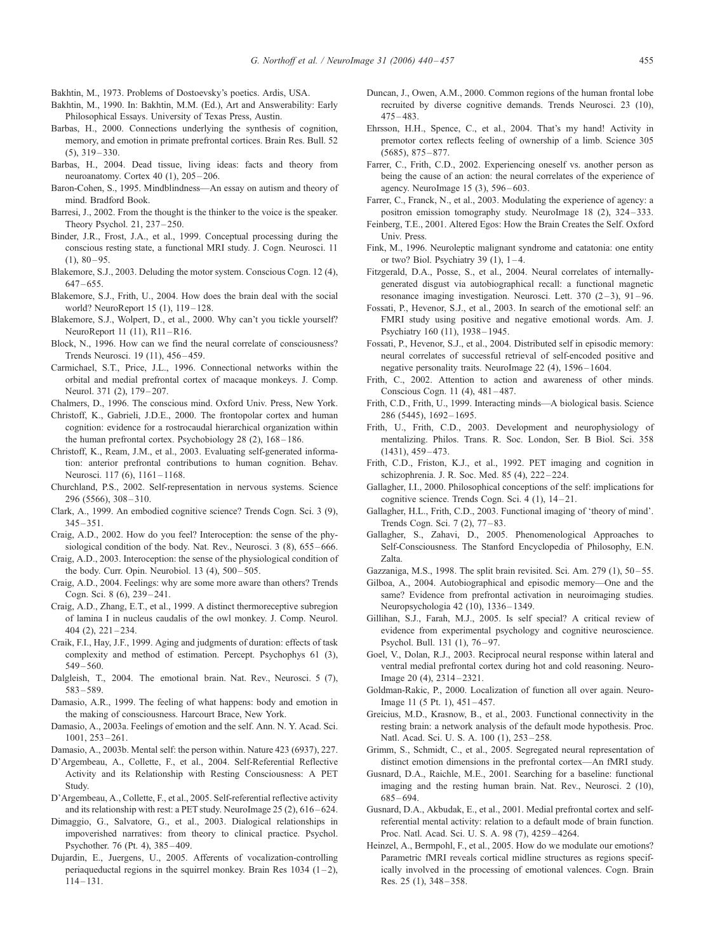<span id="page-15-0"></span>Bakhtin, M., 1973. Problems of Dostoevsky's poetics. Ardis, USA.

- Bakhtin, M., 1990. In: Bakhtin, M.M. (Ed.), Art and Answerability: Early Philosophical Essays. University of Texas Press, Austin.
- Barbas, H., 2000. Connections underlying the synthesis of cognition, memory, and emotion in primate prefrontal cortices. Brain Res. Bull. 52  $(5)$ ,  $319 - 330$ .
- Barbas, H., 2004. Dead tissue, living ideas: facts and theory from neuroanatomy. Cortex 40 (1), 205 – 206.
- Baron-Cohen, S., 1995. Mindblindness—An essay on autism and theory of mind. Bradford Book.
- Barresi, J., 2002. From the thought is the thinker to the voice is the speaker. Theory Psychol. 21, 237 – 250.
- Binder, J.R., Frost, J.A., et al., 1999. Conceptual processing during the conscious resting state, a functional MRI study. J. Cogn. Neurosci. 11  $(1), 80 - 95.$
- Blakemore, S.J., 2003. Deluding the motor system. Conscious Cogn. 12 (4),  $647 - 655$
- Blakemore, S.J., Frith, U., 2004. How does the brain deal with the social world? NeuroReport 15 (1), 119-128.
- Blakemore, S.J., Wolpert, D., et al., 2000. Why can't you tickle yourself? NeuroReport 11 (11), R11 –R16.
- Block, N., 1996. How can we find the neural correlate of consciousness? Trends Neurosci. 19 (11), 456 – 459.
- Carmichael, S.T., Price, J.L., 1996. Connectional networks within the orbital and medial prefrontal cortex of macaque monkeys. J. Comp. Neurol. 371 (2), 179-207.
- Chalmers, D., 1996. The conscious mind. Oxford Univ. Press, New York.
- Christoff, K., Gabrieli, J.D.E., 2000. The frontopolar cortex and human cognition: evidence for a rostrocaudal hierarchical organization within the human prefrontal cortex. Psychobiology 28 (2), 168-186.
- Christoff, K., Ream, J.M., et al., 2003. Evaluating self-generated information: anterior prefrontal contributions to human cognition. Behav. Neurosci. 117 (6), 1161-1168.
- Churchland, P.S., 2002. Self-representation in nervous systems. Science 296 (5566), 308 – 310.
- Clark, A., 1999. An embodied cognitive science? Trends Cogn. Sci. 3 (9),  $345 - 351$ .
- Craig, A.D., 2002. How do you feel? Interoception: the sense of the physiological condition of the body. Nat. Rev., Neurosci. 3 (8), 655-666.
- Craig, A.D., 2003. Interoception: the sense of the physiological condition of the body. Curr. Opin. Neurobiol. 13 (4), 500 – 505.
- Craig, A.D., 2004. Feelings: why are some more aware than others? Trends Cogn. Sci. 8 (6), 239–241.
- Craig, A.D., Zhang, E.T., et al., 1999. A distinct thermoreceptive subregion of lamina I in nucleus caudalis of the owl monkey. J. Comp. Neurol. 404 (2), 221 – 234.
- Craik, F.I., Hay, J.F., 1999. Aging and judgments of duration: effects of task complexity and method of estimation. Percept. Psychophys 61 (3),  $549 - 560$
- Dalgleish, T., 2004. The emotional brain. Nat. Rev., Neurosci. 5 (7), 583 – 589.
- Damasio, A.R., 1999. The feeling of what happens: body and emotion in the making of consciousness. Harcourt Brace, New York.
- Damasio, A., 2003a. Feelings of emotion and the self. Ann. N. Y. Acad. Sci. 1001, 253 – 261.
- Damasio, A., 2003b. Mental self: the person within. Nature 423 (6937), 227.
- D'Argembeau, A., Collette, F., et al., 2004. Self-Referential Reflective Activity and its Relationship with Resting Consciousness: A PET Study.
- D'Argembeau, A., Collette, F., et al., 2005. Self-referential reflective activity and its relationship with rest: a PET study. NeuroImage 25 (2), 616 – 624.
- Dimaggio, G., Salvatore, G., et al., 2003. Dialogical relationships in impoverished narratives: from theory to clinical practice. Psychol. Psychother. 76 (Pt. 4), 385 – 409.
- Dujardin, E., Juergens, U., 2005. Afferents of vocalization-controlling periaqueductal regions in the squirrel monkey. Brain Res 1034  $(1-2)$ , 114 – 131.
- Duncan, J., Owen, A.M., 2000. Common regions of the human frontal lobe recruited by diverse cognitive demands. Trends Neurosci. 23 (10),  $475 - 483$
- Ehrsson, H.H., Spence, C., et al., 2004. That's my hand! Activity in premotor cortex reflects feeling of ownership of a limb. Science 305 (5685), 875 – 877.
- Farrer, C., Frith, C.D., 2002. Experiencing oneself vs. another person as being the cause of an action: the neural correlates of the experience of agency. NeuroImage 15 (3), 596 – 603.
- Farrer, C., Franck, N., et al., 2003. Modulating the experience of agency: a positron emission tomography study. NeuroImage 18 (2), 324 – 333.
- Feinberg, T.E., 2001. Altered Egos: How the Brain Creates the Self. Oxford Univ. Press.
- Fink, M., 1996. Neuroleptic malignant syndrome and catatonia: one entity or two? Biol. Psychiatry 39  $(1)$ , 1-4.
- Fitzgerald, D.A., Posse, S., et al., 2004. Neural correlates of internallygenerated disgust via autobiographical recall: a functional magnetic resonance imaging investigation. Neurosci. Lett.  $370$  (2-3), 91-96.
- Fossati, P., Hevenor, S.J., et al., 2003. In search of the emotional self: an FMRI study using positive and negative emotional words. Am. J. Psychiatry 160 (11), 1938 – 1945.
- Fossati, P., Hevenor, S.J., et al., 2004. Distributed self in episodic memory: neural correlates of successful retrieval of self-encoded positive and negative personality traits. NeuroImage 22 (4), 1596 – 1604.
- Frith, C., 2002. Attention to action and awareness of other minds. Conscious Cogn. 11 (4), 481-487.
- Frith, C.D., Frith, U., 1999. Interacting minds—A biological basis. Science 286 (5445), 1692 – 1695.
- Frith, U., Frith, C.D., 2003. Development and neurophysiology of mentalizing. Philos. Trans. R. Soc. London, Ser. B Biol. Sci. 358  $(1431), 459 - 473.$
- Frith, C.D., Friston, K.J., et al., 1992. PET imaging and cognition in schizophrenia. J. R. Soc. Med. 85 (4), 222 – 224.
- Gallagher, I.I., 2000. Philosophical conceptions of the self: implications for cognitive science. Trends Cogn. Sci. 4 (1), 14-21.
- Gallagher, H.L., Frith, C.D., 2003. Functional imaging of 'theory of mind'. Trends Cogn. Sci. 7 (2), 77 – 83.
- Gallagher, S., Zahavi, D., 2005. Phenomenological Approaches to Self-Consciousness. The Stanford Encyclopedia of Philosophy, E.N. Zalta.
- Gazzaniga, M.S., 1998. The split brain revisited. Sci. Am. 279 (1), 50-55.
- Gilboa, A., 2004. Autobiographical and episodic memory—One and the same? Evidence from prefrontal activation in neuroimaging studies. Neuropsychologia 42 (10), 1336 – 1349.
- Gillihan, S.J., Farah, M.J., 2005. Is self special? A critical review of evidence from experimental psychology and cognitive neuroscience. Psychol. Bull. 131 (1), 76-97.
- Goel, V., Dolan, R.J., 2003. Reciprocal neural response within lateral and ventral medial prefrontal cortex during hot and cold reasoning. Neuro-Image 20 (4), 2314 – 2321.
- Goldman-Rakic, P., 2000. Localization of function all over again. Neuro-Image 11 (5 Pt. 1), 451 – 457.
- Greicius, M.D., Krasnow, B., et al., 2003. Functional connectivity in the resting brain: a network analysis of the default mode hypothesis. Proc. Natl. Acad. Sci. U. S. A. 100 (1), 253-258.
- Grimm, S., Schmidt, C., et al., 2005. Segregated neural representation of distinct emotion dimensions in the prefrontal cortex—An fMRI study.
- Gusnard, D.A., Raichle, M.E., 2001. Searching for a baseline: functional imaging and the resting human brain. Nat. Rev., Neurosci. 2 (10), 685 – 694.
- Gusnard, D.A., Akbudak, E., et al., 2001. Medial prefrontal cortex and selfreferential mental activity: relation to a default mode of brain function. Proc. Natl. Acad. Sci. U. S. A. 98 (7), 4259 – 4264.
- Heinzel, A., Bermpohl, F., et al., 2005. How do we modulate our emotions? Parametric fMRI reveals cortical midline structures as regions specifically involved in the processing of emotional valences. Cogn. Brain Res. 25 (1), 348 – 358.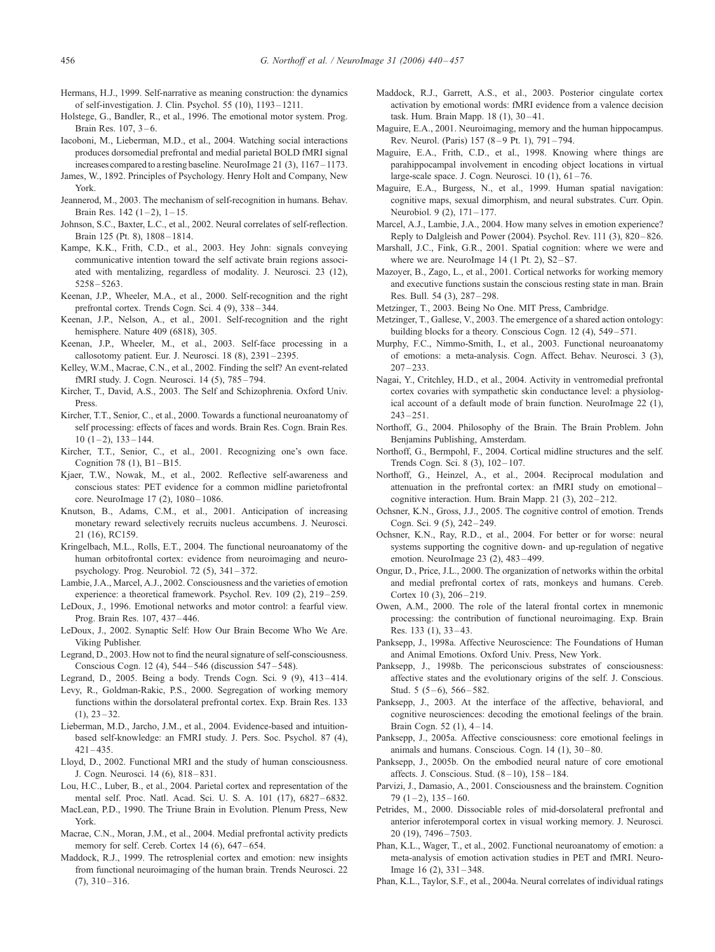- <span id="page-16-0"></span>Hermans, H.J., 1999. Self-narrative as meaning construction: the dynamics of self-investigation. J. Clin. Psychol. 55 (10), 1193 – 1211.
- Holstege, G., Bandler, R., et al., 1996. The emotional motor system. Prog. Brain Res. 107, 3-6.
- Iacoboni, M., Lieberman, M.D., et al., 2004. Watching social interactions produces dorsomedial prefrontal and medial parietal BOLD fMRI signal increases comparedto a resting baseline. NeuroImage 21 (3), 1167 – 1173.
- James, W., 1892. Principles of Psychology. Henry Holt and Company, New York.
- Jeannerod, M., 2003. The mechanism of self-recognition in humans. Behav. Brain Res.  $142 (1-2)$ ,  $1-15$ .
- Johnson, S.C., Baxter, L.C., et al., 2002. Neural correlates of self-reflection. Brain 125 (Pt. 8), 1808 – 1814.
- Kampe, K.K., Frith, C.D., et al., 2003. Hey John: signals conveying communicative intention toward the self activate brain regions associated with mentalizing, regardless of modality. J. Neurosci. 23 (12), 5258 – 5263.
- Keenan, J.P., Wheeler, M.A., et al., 2000. Self-recognition and the right prefrontal cortex. Trends Cogn. Sci. 4 (9), 338 – 344.
- Keenan, J.P., Nelson, A., et al., 2001. Self-recognition and the right hemisphere. Nature 409 (6818), 305.
- Keenan, J.P., Wheeler, M., et al., 2003. Self-face processing in a callosotomy patient. Eur. J. Neurosci.  $18(8)$ ,  $2391-2395$ .
- Kelley, W.M., Macrae, C.N., et al., 2002. Finding the self? An event-related fMRI study. J. Cogn. Neurosci. 14 (5), 785 – 794.
- Kircher, T., David, A.S., 2003. The Self and Schizophrenia. Oxford Univ. Press.
- Kircher, T.T., Senior, C., et al., 2000. Towards a functional neuroanatomy of self processing: effects of faces and words. Brain Res. Cogn. Brain Res.  $10(1-2)$ ,  $133-144$ .
- Kircher, T.T., Senior, C., et al., 2001. Recognizing one's own face. Cognition 78 (1), B1 –B15.
- Kjaer, T.W., Nowak, M., et al., 2002. Reflective self-awareness and conscious states: PET evidence for a common midline parietofrontal core. NeuroImage 17 (2), 1080-1086.
- Knutson, B., Adams, C.M., et al., 2001. Anticipation of increasing monetary reward selectively recruits nucleus accumbens. J. Neurosci. 21 (16), RC159.
- Kringelbach, M.L., Rolls, E.T., 2004. The functional neuroanatomy of the human orbitofrontal cortex: evidence from neuroimaging and neuropsychology. Prog. Neurobiol. 72 (5), 341 – 372.
- Lambie, J.A., Marcel, A.J., 2002. Consciousness and the varieties of emotion experience: a theoretical framework. Psychol. Rev. 109 (2), 219–259.
- LeDoux, J., 1996. Emotional networks and motor control: a fearful view. Prog. Brain Res. 107, 437 – 446.
- LeDoux, J., 2002. Synaptic Self: How Our Brain Become Who We Are. Viking Publisher.
- Legrand, D., 2003. How not to find the neural signature of self-consciousness. Conscious Cogn. 12 (4), 544 – 546 (discussion 547 – 548).
- Legrand, D., 2005. Being a body. Trends Cogn. Sci. 9 (9), 413 414.
- Levy, R., Goldman-Rakic, P.S., 2000. Segregation of working memory functions within the dorsolateral prefrontal cortex. Exp. Brain Res. 133  $(1), 23 - 32.$
- Lieberman, M.D., Jarcho, J.M., et al., 2004. Evidence-based and intuitionbased self-knowledge: an FMRI study. J. Pers. Soc. Psychol. 87 (4),  $421 - 435.$
- Lloyd, D., 2002. Functional MRI and the study of human consciousness. J. Cogn. Neurosci. 14 (6), 818 – 831.
- Lou, H.C., Luber, B., et al., 2004. Parietal cortex and representation of the mental self. Proc. Natl. Acad. Sci. U. S. A. 101 (17), 6827-6832.
- MacLean, P.D., 1990. The Triune Brain in Evolution. Plenum Press, New York.
- Macrae, C.N., Moran, J.M., et al., 2004. Medial prefrontal activity predicts memory for self. Cereb. Cortex  $14$  (6),  $647-654$ .
- Maddock, R.J., 1999. The retrosplenial cortex and emotion: new insights from functional neuroimaging of the human brain. Trends Neurosci. 22  $(7), 310 - 316.$
- Maddock, R.J., Garrett, A.S., et al., 2003. Posterior cingulate cortex activation by emotional words: fMRI evidence from a valence decision task. Hum. Brain Mapp. 18 (1), 30-41.
- Maguire, E.A., 2001. Neuroimaging, memory and the human hippocampus. Rev. Neurol. (Paris) 157 (8-9 Pt. 1), 791-794.
- Maguire, E.A., Frith, C.D., et al., 1998. Knowing where things are parahippocampal involvement in encoding object locations in virtual large-scale space. J. Cogn. Neurosci. 10 (1), 61-76.
- Maguire, E.A., Burgess, N., et al., 1999. Human spatial navigation: cognitive maps, sexual dimorphism, and neural substrates. Curr. Opin. Neurobiol. 9 (2), 171-177.
- Marcel, A.J., Lambie, J.A., 2004. How many selves in emotion experience? Reply to Dalgleish and Power (2004). Psychol. Rev. 111 (3), 820 – 826.
- Marshall, J.C., Fink, G.R., 2001. Spatial cognition: where we were and where we are. NeuroImage  $14$  (1 Pt. 2), S2-S7.
- Mazoyer, B., Zago, L., et al., 2001. Cortical networks for working memory and executive functions sustain the conscious resting state in man. Brain Res. Bull. 54 (3), 287 – 298.
- Metzinger, T., 2003. Being No One. MIT Press, Cambridge.
- Metzinger, T., Gallese, V., 2003. The emergence of a shared action ontology: building blocks for a theory. Conscious Cogn. 12 (4), 549 – 571.
- Murphy, F.C., Nimmo-Smith, I., et al., 2003. Functional neuroanatomy of emotions: a meta-analysis. Cogn. Affect. Behav. Neurosci. 3 (3),  $207 - 233$ .
- Nagai, Y., Critchley, H.D., et al., 2004. Activity in ventromedial prefrontal cortex covaries with sympathetic skin conductance level: a physiological account of a default mode of brain function. NeuroImage 22 (1),  $243 - 251$
- Northoff, G., 2004. Philosophy of the Brain. The Brain Problem. John Benjamins Publishing, Amsterdam.
- Northoff, G., Bermpohl, F., 2004. Cortical midline structures and the self. Trends Cogn. Sci. 8 (3), 102 – 107.
- Northoff, G., Heinzel, A., et al., 2004. Reciprocal modulation and attenuation in the prefrontal cortex: an fMRI study on emotional – cognitive interaction. Hum. Brain Mapp. 21 (3), 202-212.
- Ochsner, K.N., Gross, J.J., 2005. The cognitive control of emotion. Trends Cogn. Sci. 9 (5), 242 – 249.
- Ochsner, K.N., Ray, R.D., et al., 2004. For better or for worse: neural systems supporting the cognitive down- and up-regulation of negative emotion. NeuroImage 23 (2), 483 – 499.
- Ongur, D., Price, J.L., 2000. The organization of networks within the orbital and medial prefrontal cortex of rats, monkeys and humans. Cereb. Cortex 10 (3), 206 – 219.
- Owen, A.M., 2000. The role of the lateral frontal cortex in mnemonic processing: the contribution of functional neuroimaging. Exp. Brain Res. 133 (1), 33 – 43.
- Panksepp, J., 1998a. Affective Neuroscience: The Foundations of Human and Animal Emotions. Oxford Univ. Press, New York.
- Panksepp, J., 1998b. The periconscious substrates of consciousness: affective states and the evolutionary origins of the self. J. Conscious. Stud.  $5(5-6)$ ,  $566-582$ .
- Panksepp, J., 2003. At the interface of the affective, behavioral, and cognitive neurosciences: decoding the emotional feelings of the brain. Brain Cogn. 52 (1), 4-14.
- Panksepp, J., 2005a. Affective consciousness: core emotional feelings in animals and humans. Conscious. Cogn.  $14$  (1),  $30-80$ .
- Panksepp, J., 2005b. On the embodied neural nature of core emotional affects. J. Conscious. Stud.  $(8-10)$ , 158 – 184.
- Parvizi, J., Damasio, A., 2001. Consciousness and the brainstem. Cognition  $79$   $(1-2)$ ,  $135-160$ .
- Petrides, M., 2000. Dissociable roles of mid-dorsolateral prefrontal and anterior inferotemporal cortex in visual working memory. J. Neurosci. 20 (19), 7496 – 7503.
- Phan, K.L., Wager, T., et al., 2002. Functional neuroanatomy of emotion: a meta-analysis of emotion activation studies in PET and fMRI. Neuro-Image  $16$  (2),  $331 - 348$ .
- Phan, K.L., Taylor, S.F., et al., 2004a. Neural correlates of individual ratings